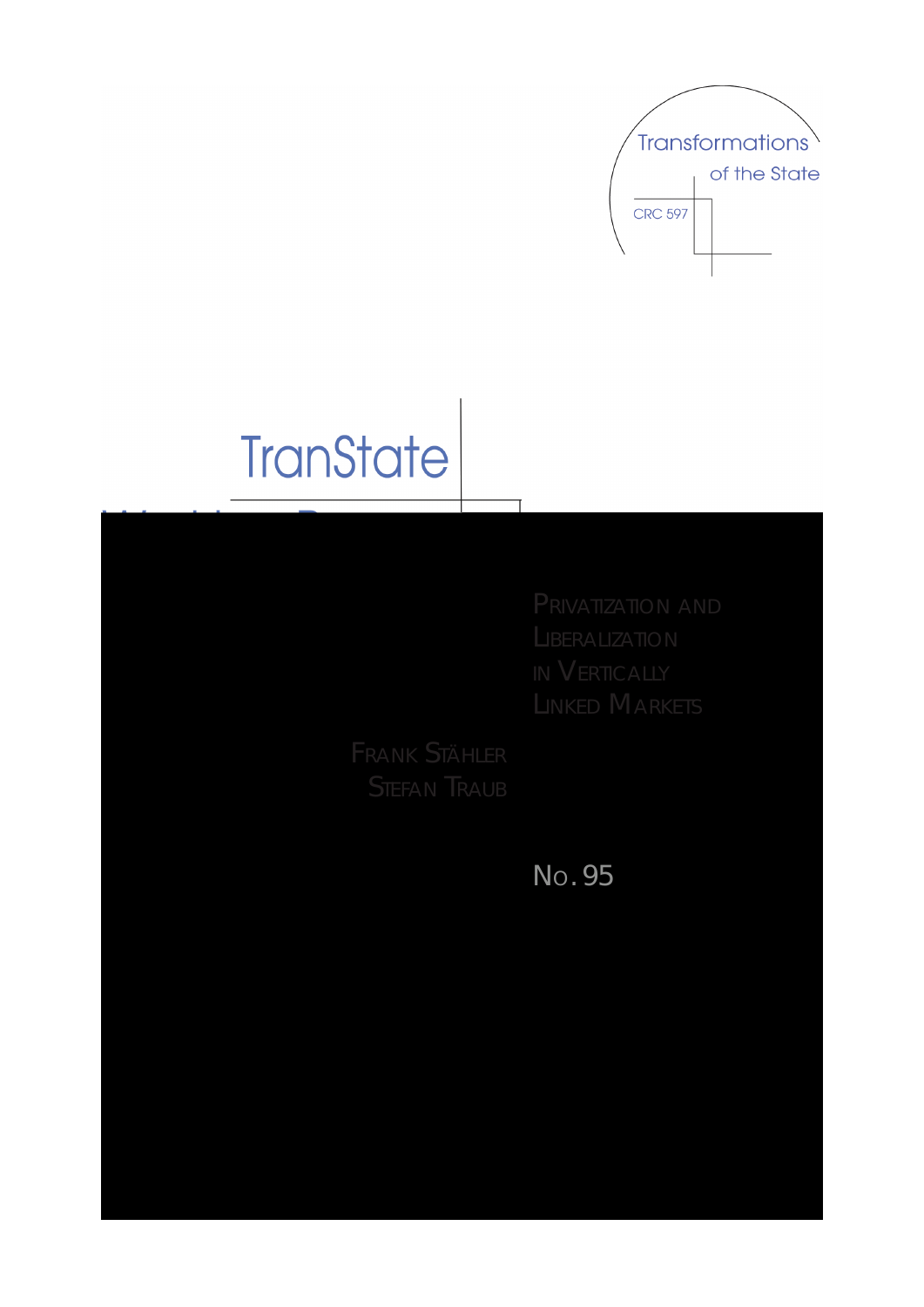PRIVATIZATION AND **LIBERALIZATION** IN VERTICAllY LINKED MARKETS

FRANK STÄHlER STEfAN TRAUB

NO. 95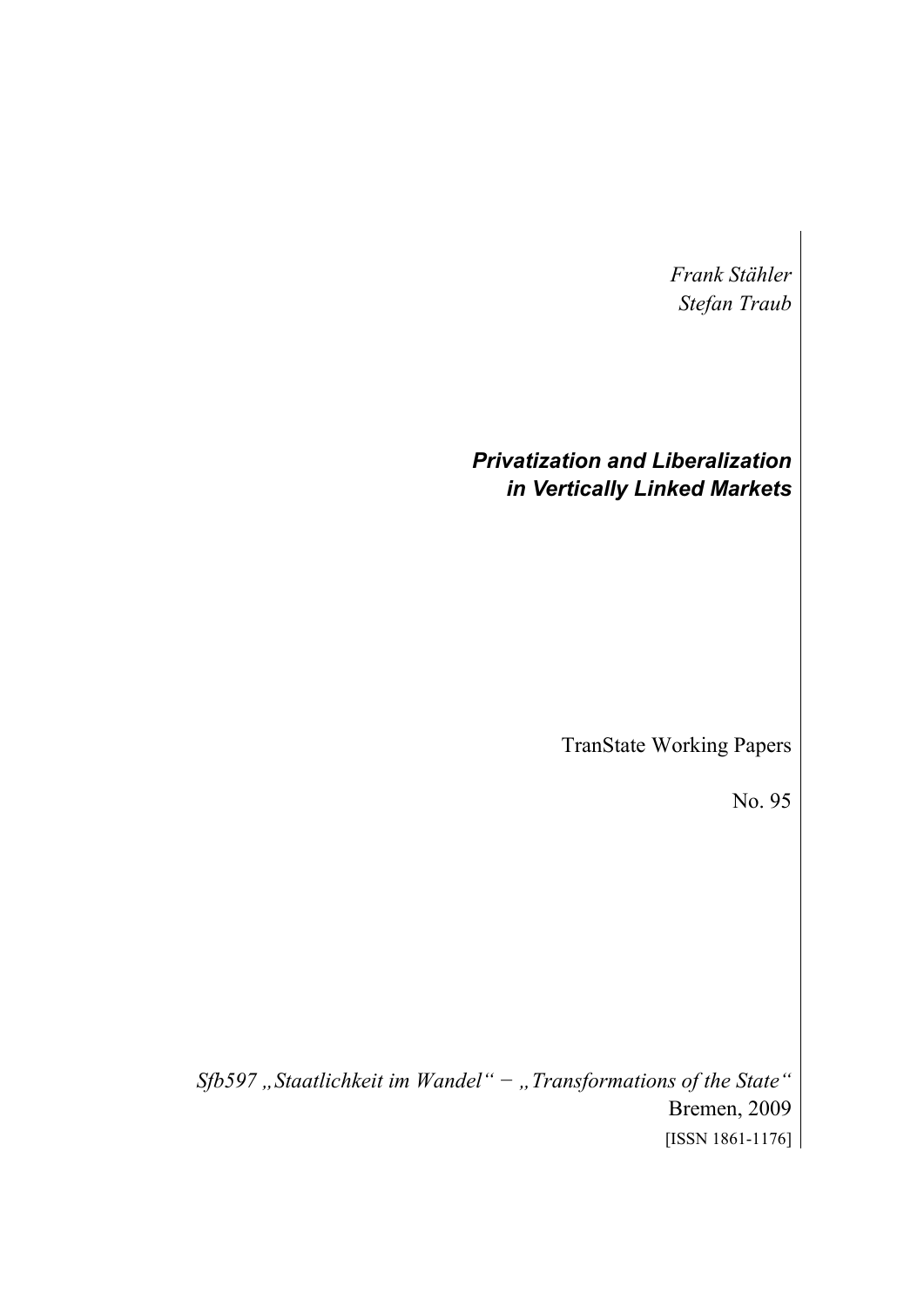*Frank Stähler Stefan Traub* 

# *Privatization and Liberalization in Vertically Linked Markets*

TranState Working Papers

No. 95

*Sfb597 "Staatlichkeit im Wandel" − "Transformations of the State"*  Bremen, 2009 [ISSN 1861-1176]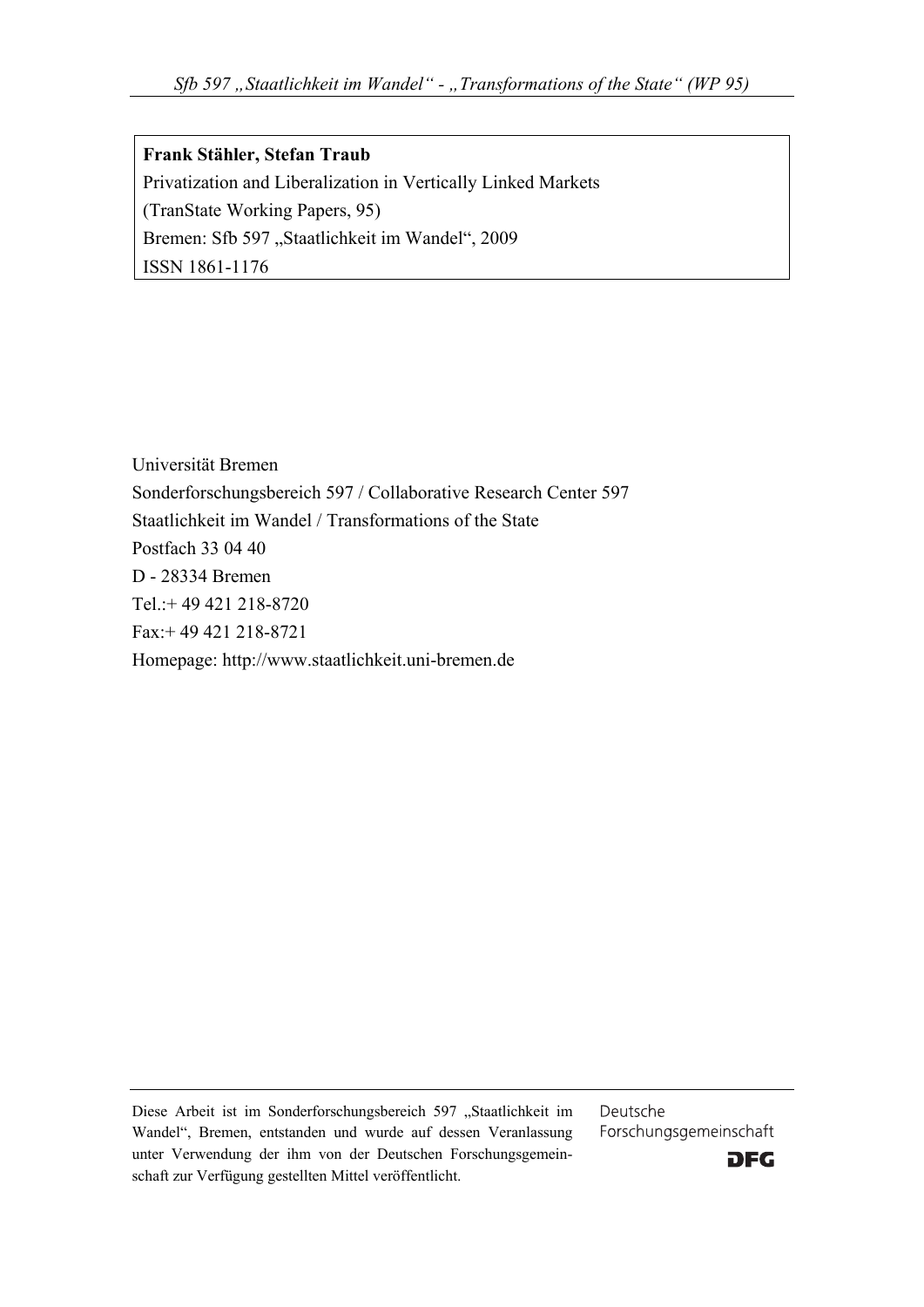**Frank Stähler, Stefan Traub**  Privatization and Liberalization in Vertically Linked Markets (TranState Working Papers, 95) Bremen: Sfb 597 "Staatlichkeit im Wandel", 2009 ISSN 1861-1176

Universität Bremen Sonderforschungsbereich 597 / Collaborative Research Center 597 Staatlichkeit im Wandel / Transformations of the State Postfach 33 04 40 D - 28334 Bremen Tel.:+ 49 421 218-8720 Fax:+ 49 421 218-8721 Homepage: http://www.staatlichkeit.uni-bremen.de

Diese Arbeit ist im Sonderforschungsbereich 597 "Staatlichkeit im Wandel", Bremen, entstanden und wurde auf dessen Veranlassung unter Verwendung der ihm von der Deutschen Forschungsgemeinschaft zur Verfügung gestellten Mittel veröffentlicht.

Deutsche Forschungsgemeinschaft

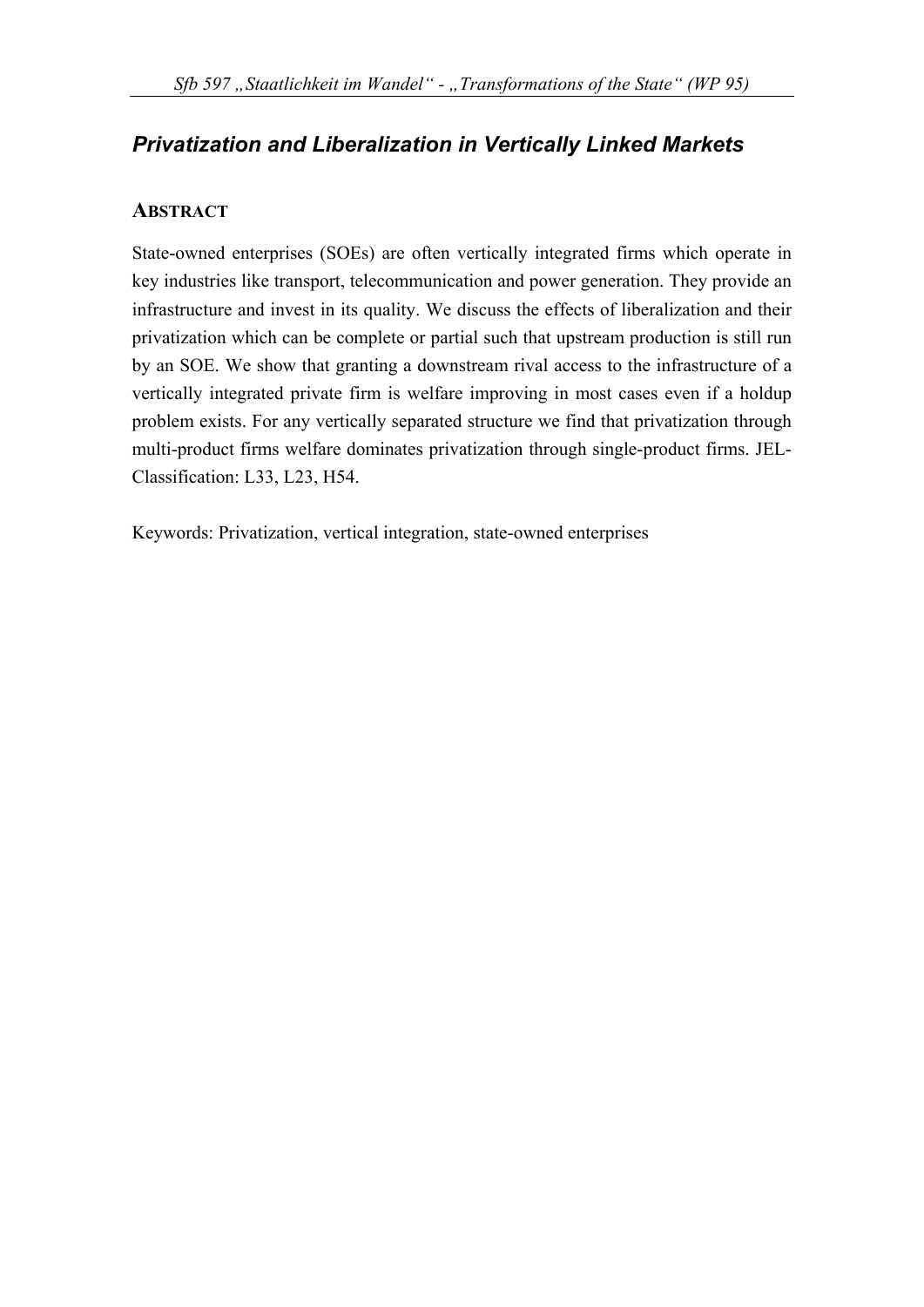# *Privatization and Liberalization in Vertically Linked Markets*

# **ABSTRACT**

State-owned enterprises (SOEs) are often vertically integrated firms which operate in key industries like transport, telecommunication and power generation. They provide an infrastructure and invest in its quality. We discuss the effects of liberalization and their privatization which can be complete or partial such that upstream production is still run by an SOE. We show that granting a downstream rival access to the infrastructure of a vertically integrated private firm is welfare improving in most cases even if a holdup problem exists. For any vertically separated structure we find that privatization through multi-product firms welfare dominates privatization through single-product firms. JEL-Classification: L33, L23, H54.

Keywords: Privatization, vertical integration, state-owned enterprises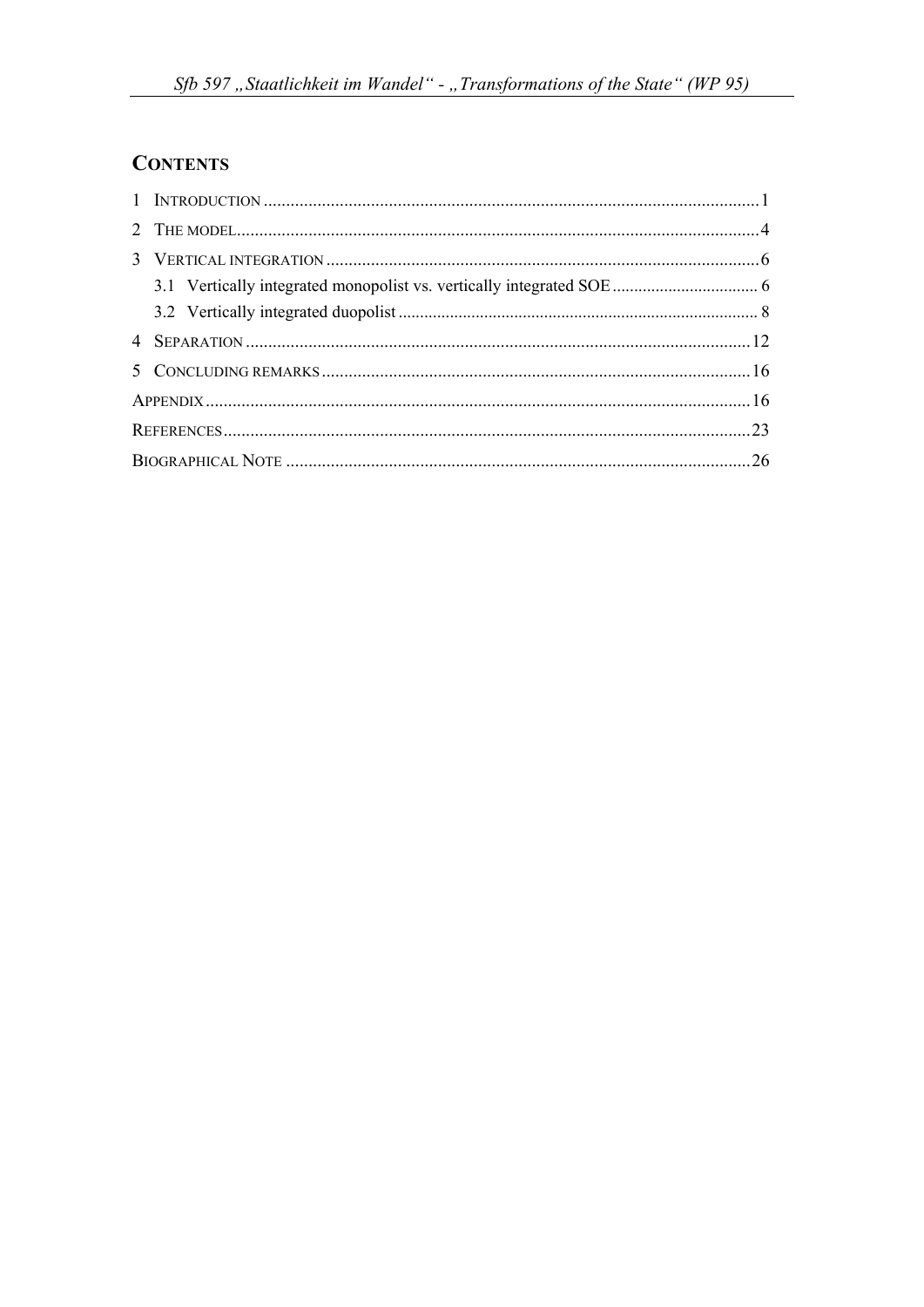# **CONTENTS**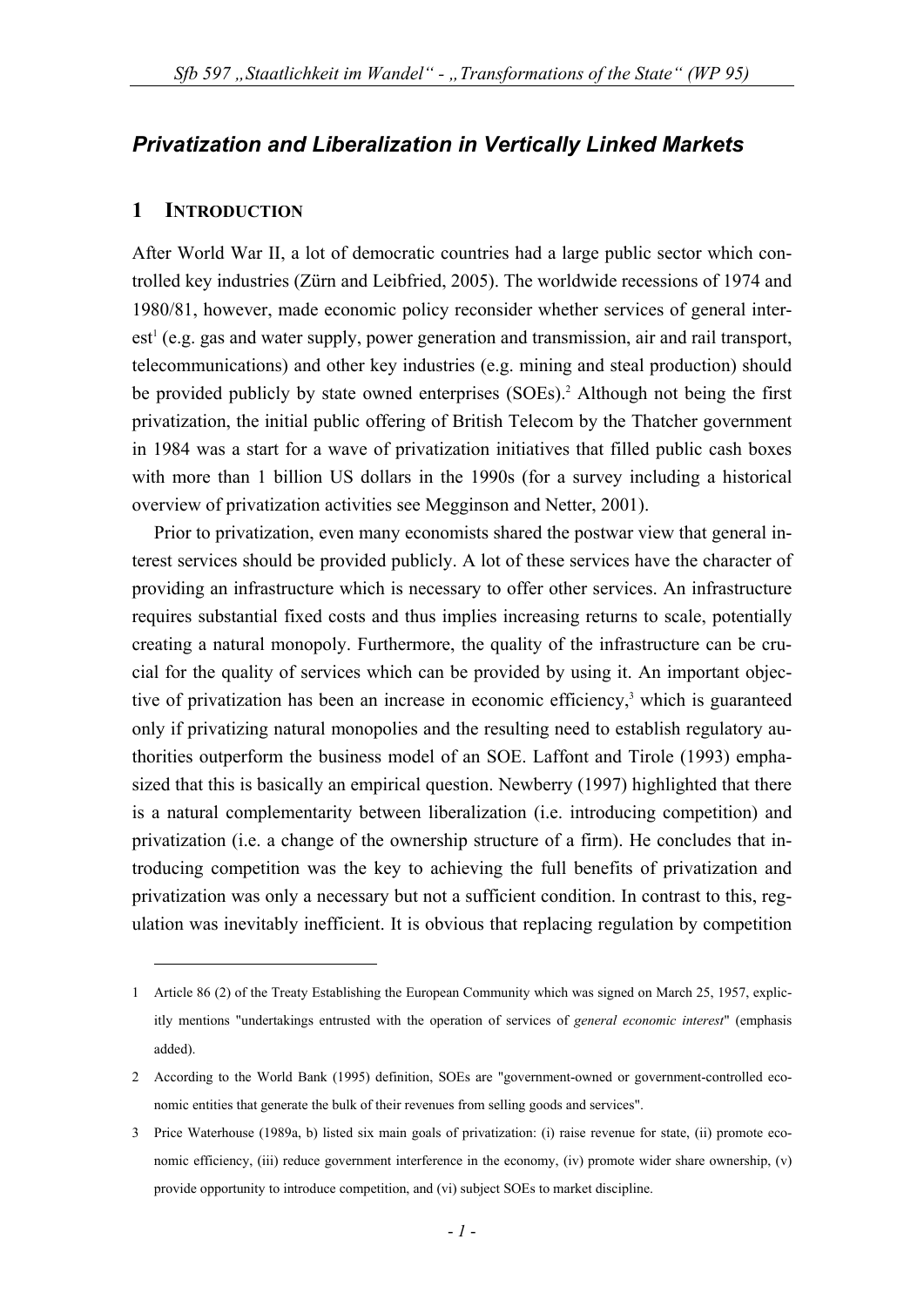# *Privatization and Liberalization in Vertically Linked Markets*

## **1 INTRODUCTION**

<u>.</u>

After World War II, a lot of democratic countries had a large public sector which controlled key industries (Zürn and Leibfried, 2005). The worldwide recessions of 1974 and 1980/81, however, made economic policy reconsider whether services of general interest<sup>1</sup> (e.g. gas and water supply, power generation and transmission, air and rail transport, telecommunications) and other key industries (e.g. mining and steal production) should be provided publicly by state owned enterprises (SOEs).<sup>2</sup> Although not being the first privatization, the initial public offering of British Telecom by the Thatcher government in 1984 was a start for a wave of privatization initiatives that filled public cash boxes with more than 1 billion US dollars in the 1990s (for a survey including a historical overview of privatization activities see Megginson and Netter, 2001).

Prior to privatization, even many economists shared the postwar view that general interest services should be provided publicly. A lot of these services have the character of providing an infrastructure which is necessary to offer other services. An infrastructure requires substantial fixed costs and thus implies increasing returns to scale, potentially creating a natural monopoly. Furthermore, the quality of the infrastructure can be crucial for the quality of services which can be provided by using it. An important objective of privatization has been an increase in economic efficiency,<sup>3</sup> which is guaranteed only if privatizing natural monopolies and the resulting need to establish regulatory authorities outperform the business model of an SOE. Laffont and Tirole (1993) emphasized that this is basically an empirical question. Newberry (1997) highlighted that there is a natural complementarity between liberalization (i.e. introducing competition) and privatization (i.e. a change of the ownership structure of a firm). He concludes that introducing competition was the key to achieving the full benefits of privatization and privatization was only a necessary but not a sufficient condition. In contrast to this, regulation was inevitably inefficient. It is obvious that replacing regulation by competition

<sup>1</sup> Article 86 (2) of the Treaty Establishing the European Community which was signed on March 25, 1957, explicitly mentions "undertakings entrusted with the operation of services of *general economic interest*" (emphasis added).

<sup>2</sup> According to the World Bank (1995) definition, SOEs are "government-owned or government-controlled economic entities that generate the bulk of their revenues from selling goods and services".

<sup>3</sup> Price Waterhouse (1989a, b) listed six main goals of privatization: (i) raise revenue for state, (ii) promote economic efficiency, (iii) reduce government interference in the economy, (iv) promote wider share ownership, (v) provide opportunity to introduce competition, and (vi) subject SOEs to market discipline.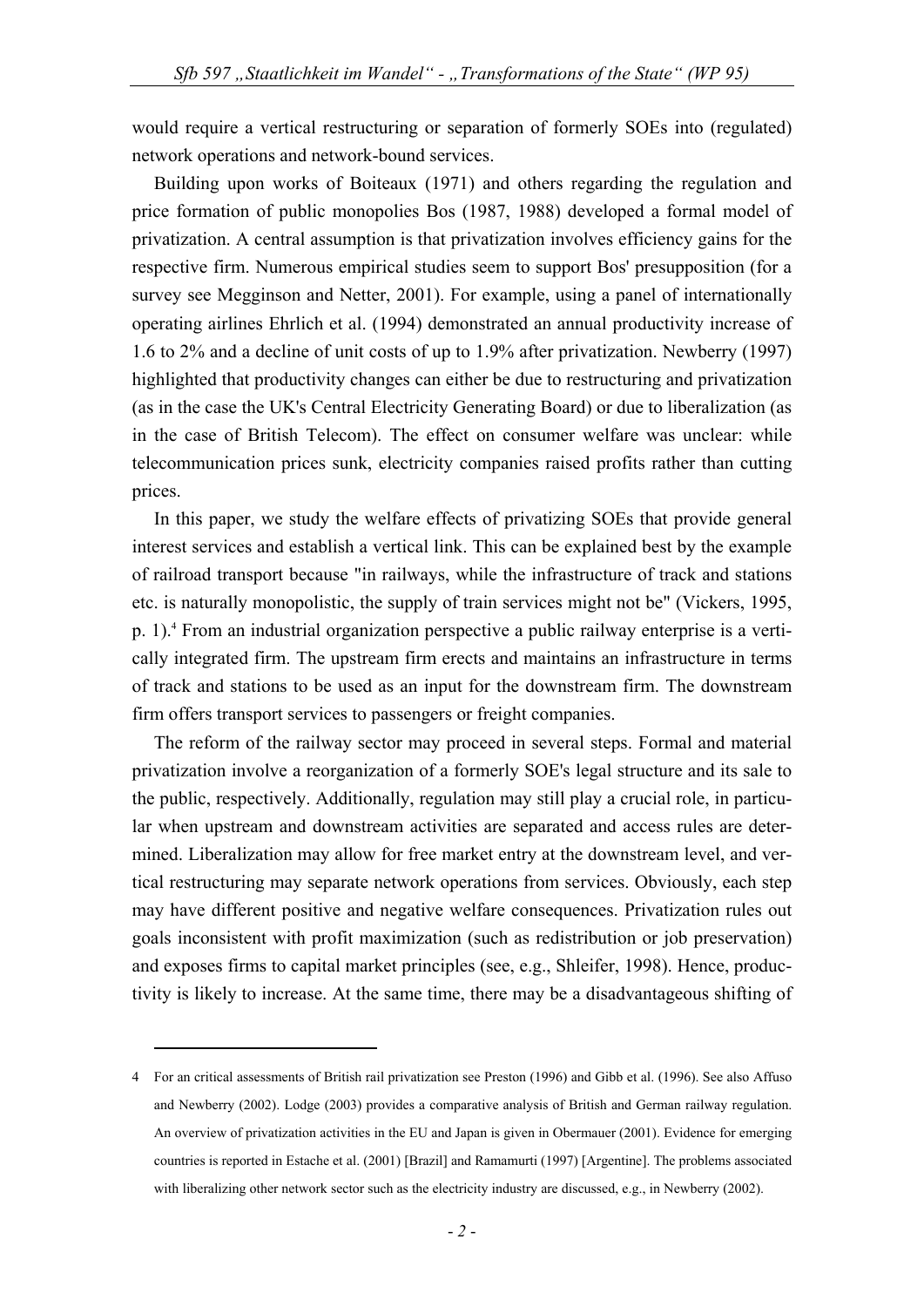would require a vertical restructuring or separation of formerly SOEs into (regulated) network operations and network-bound services.

Building upon works of Boiteaux (1971) and others regarding the regulation and price formation of public monopolies Bos (1987, 1988) developed a formal model of privatization. A central assumption is that privatization involves efficiency gains for the respective firm. Numerous empirical studies seem to support Bos' presupposition (for a survey see Megginson and Netter, 2001). For example, using a panel of internationally operating airlines Ehrlich et al. (1994) demonstrated an annual productivity increase of 1.6 to 2% and a decline of unit costs of up to 1.9% after privatization. Newberry (1997) highlighted that productivity changes can either be due to restructuring and privatization (as in the case the UK's Central Electricity Generating Board) or due to liberalization (as in the case of British Telecom). The effect on consumer welfare was unclear: while telecommunication prices sunk, electricity companies raised profits rather than cutting prices.

In this paper, we study the welfare effects of privatizing SOEs that provide general interest services and establish a vertical link. This can be explained best by the example of railroad transport because "in railways, while the infrastructure of track and stations etc. is naturally monopolistic, the supply of train services might not be" (Vickers, 1995, p. 1).<sup>4</sup> From an industrial organization perspective a public railway enterprise is a vertically integrated firm. The upstream firm erects and maintains an infrastructure in terms of track and stations to be used as an input for the downstream firm. The downstream firm offers transport services to passengers or freight companies.

The reform of the railway sector may proceed in several steps. Formal and material privatization involve a reorganization of a formerly SOE's legal structure and its sale to the public, respectively. Additionally, regulation may still play a crucial role, in particular when upstream and downstream activities are separated and access rules are determined. Liberalization may allow for free market entry at the downstream level, and vertical restructuring may separate network operations from services. Obviously, each step may have different positive and negative welfare consequences. Privatization rules out goals inconsistent with profit maximization (such as redistribution or job preservation) and exposes firms to capital market principles (see, e.g., Shleifer, 1998). Hence, productivity is likely to increase. At the same time, there may be a disadvantageous shifting of

<u>.</u>

<sup>4</sup> For an critical assessments of British rail privatization see Preston (1996) and Gibb et al. (1996). See also Affuso and Newberry (2002). Lodge (2003) provides a comparative analysis of British and German railway regulation. An overview of privatization activities in the EU and Japan is given in Obermauer (2001). Evidence for emerging countries is reported in Estache et al. (2001) [Brazil] and Ramamurti (1997) [Argentine]. The problems associated with liberalizing other network sector such as the electricity industry are discussed, e.g., in Newberry (2002).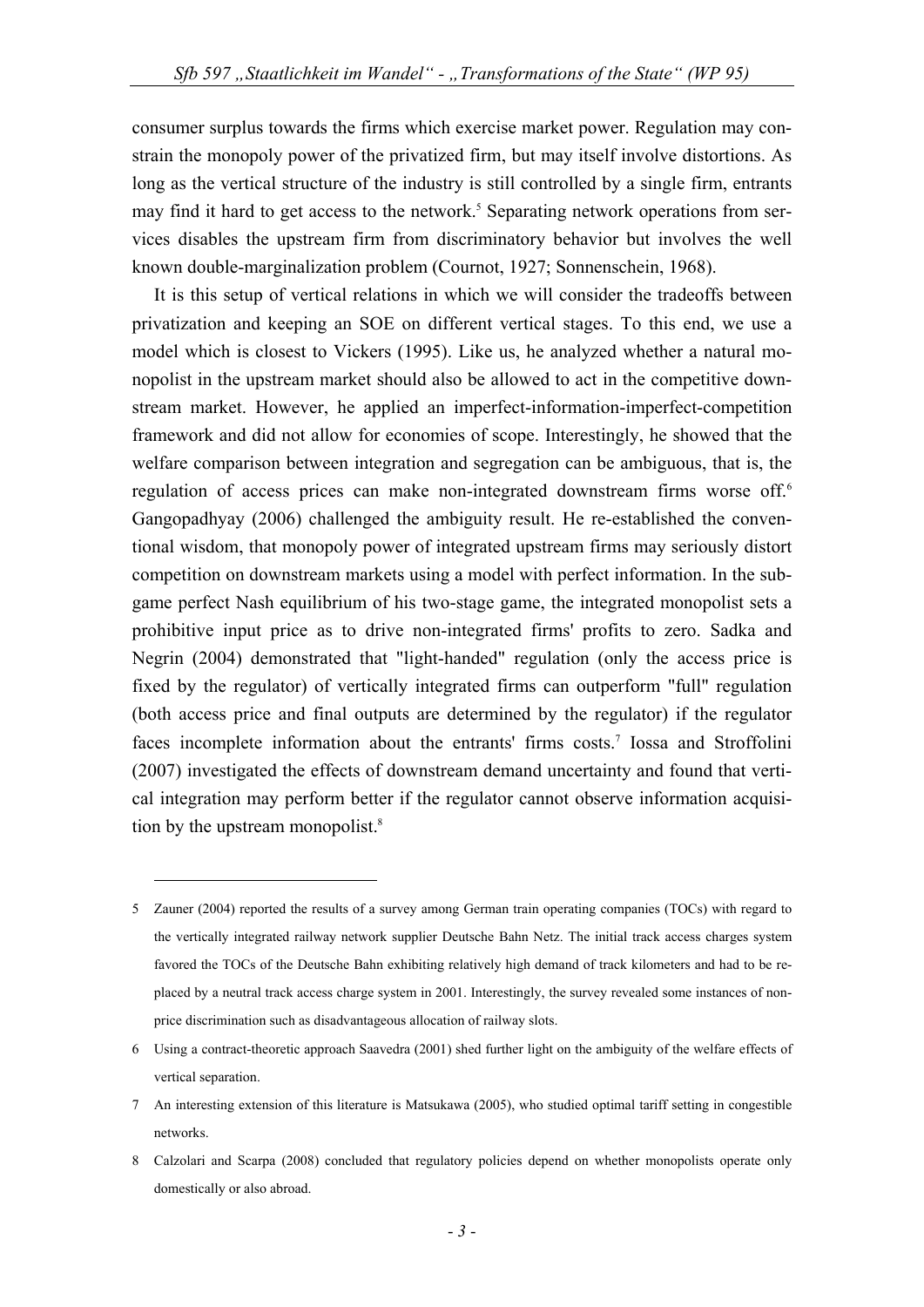consumer surplus towards the firms which exercise market power. Regulation may constrain the monopoly power of the privatized firm, but may itself involve distortions. As long as the vertical structure of the industry is still controlled by a single firm, entrants may find it hard to get access to the network.<sup>5</sup> Separating network operations from services disables the upstream firm from discriminatory behavior but involves the well known double-marginalization problem (Cournot, 1927; Sonnenschein, 1968).

It is this setup of vertical relations in which we will consider the tradeoffs between privatization and keeping an SOE on different vertical stages. To this end, we use a model which is closest to Vickers (1995). Like us, he analyzed whether a natural monopolist in the upstream market should also be allowed to act in the competitive downstream market. However, he applied an imperfect-information-imperfect-competition framework and did not allow for economies of scope. Interestingly, he showed that the welfare comparison between integration and segregation can be ambiguous, that is, the regulation of access prices can make non-integrated downstream firms worse off.<sup>6</sup> Gangopadhyay (2006) challenged the ambiguity result. He re-established the conventional wisdom, that monopoly power of integrated upstream firms may seriously distort competition on downstream markets using a model with perfect information. In the subgame perfect Nash equilibrium of his two-stage game, the integrated monopolist sets a prohibitive input price as to drive non-integrated firms' profits to zero. Sadka and Negrin (2004) demonstrated that "light-handed" regulation (only the access price is fixed by the regulator) of vertically integrated firms can outperform "full" regulation (both access price and final outputs are determined by the regulator) if the regulator faces incomplete information about the entrants' firms costs.<sup>7</sup> Iossa and Stroffolini (2007) investigated the effects of downstream demand uncertainty and found that vertical integration may perform better if the regulator cannot observe information acquisition by the upstream monopolist.<sup>8</sup>

<u>.</u>

<sup>5</sup> Zauner (2004) reported the results of a survey among German train operating companies (TOCs) with regard to the vertically integrated railway network supplier Deutsche Bahn Netz. The initial track access charges system favored the TOCs of the Deutsche Bahn exhibiting relatively high demand of track kilometers and had to be replaced by a neutral track access charge system in 2001. Interestingly, the survey revealed some instances of nonprice discrimination such as disadvantageous allocation of railway slots.

<sup>6</sup> Using a contract-theoretic approach Saavedra (2001) shed further light on the ambiguity of the welfare effects of vertical separation.

<sup>7</sup> An interesting extension of this literature is Matsukawa (2005), who studied optimal tariff setting in congestible networks.

<sup>8</sup> Calzolari and Scarpa (2008) concluded that regulatory policies depend on whether monopolists operate only domestically or also abroad.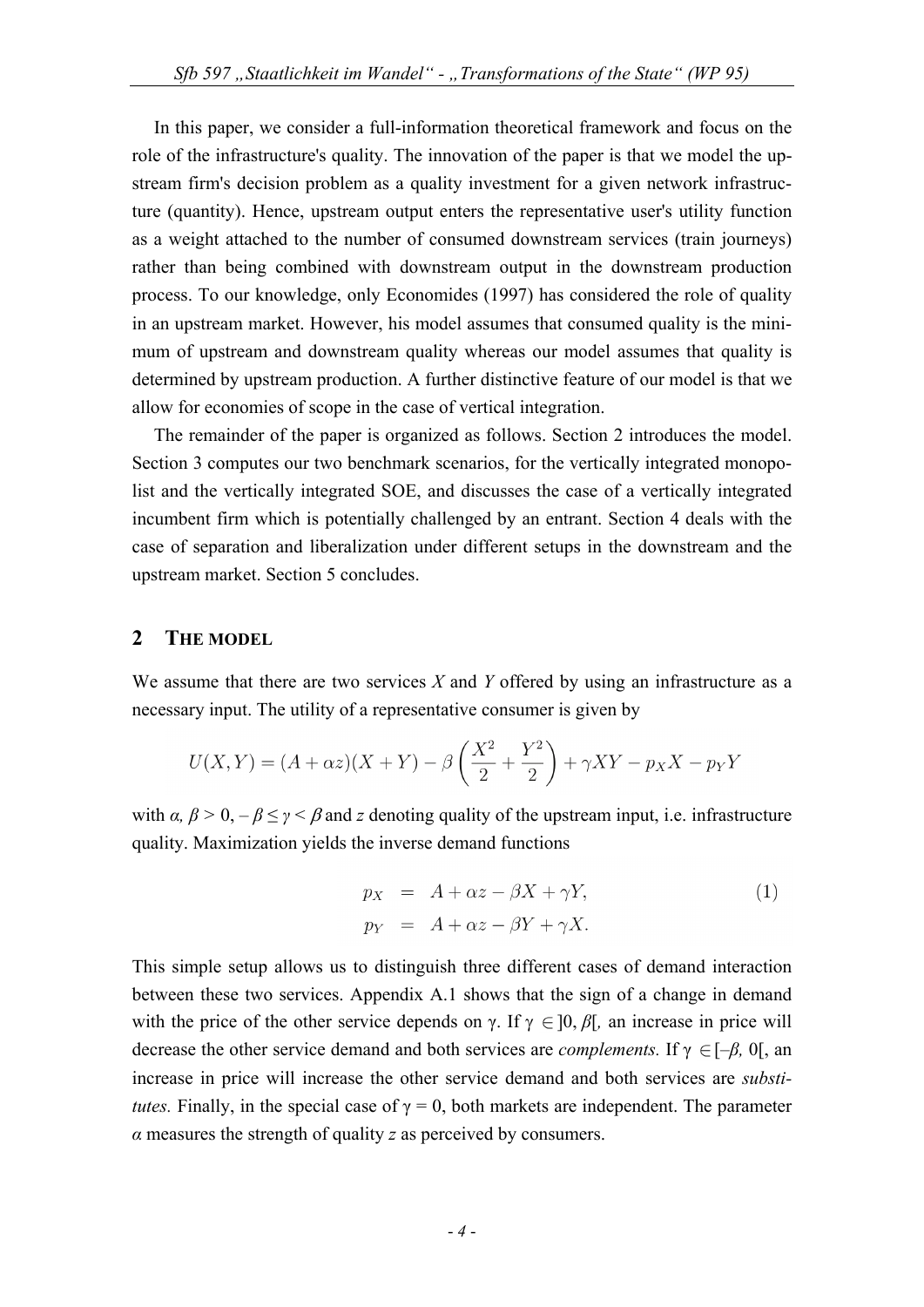In this paper, we consider a full-information theoretical framework and focus on the role of the infrastructure's quality. The innovation of the paper is that we model the upstream firm's decision problem as a quality investment for a given network infrastructure (quantity). Hence, upstream output enters the representative user's utility function as a weight attached to the number of consumed downstream services (train journeys) rather than being combined with downstream output in the downstream production process. To our knowledge, only Economides (1997) has considered the role of quality in an upstream market. However, his model assumes that consumed quality is the minimum of upstream and downstream quality whereas our model assumes that quality is determined by upstream production. A further distinctive feature of our model is that we allow for economies of scope in the case of vertical integration.

The remainder of the paper is organized as follows. Section 2 introduces the model. Section 3 computes our two benchmark scenarios, for the vertically integrated monopolist and the vertically integrated SOE, and discusses the case of a vertically integrated incumbent firm which is potentially challenged by an entrant. Section 4 deals with the case of separation and liberalization under different setups in the downstream and the upstream market. Section 5 concludes.

### **2 THE MODEL**

We assume that there are two services *X* and *Y* offered by using an infrastructure as a necessary input. The utility of a representative consumer is given by

$$
U(X,Y) = (A + \alpha z)(X + Y) - \beta \left(\frac{X^2}{2} + \frac{Y^2}{2}\right) + \gamma XY - p_X X - p_Y Y
$$

with  $\alpha$ ,  $\beta > 0$ ,  $-\beta \le \gamma < \beta$  and *z* denoting quality of the upstream input, i.e. infrastructure quality. Maximization yields the inverse demand functions

$$
p_X = A + \alpha z - \beta X + \gamma Y,
$$
  
\n
$$
p_Y = A + \alpha z - \beta Y + \gamma X.
$$
\n(1)

This simple setup allows us to distinguish three different cases of demand interaction between these two services. Appendix A.1 shows that the sign of a change in demand with the price of the other service depends on  $\gamma$ . If  $\gamma \in ]0, \beta[$ , an increase in price will decrease the other service demand and both services are *complements*. If  $\gamma \in [-\beta, 0]$ , an increase in price will increase the other service demand and both services are *substitutes.* Finally, in the special case of  $\gamma = 0$ , both markets are independent. The parameter *α* measures the strength of quality *z* as perceived by consumers.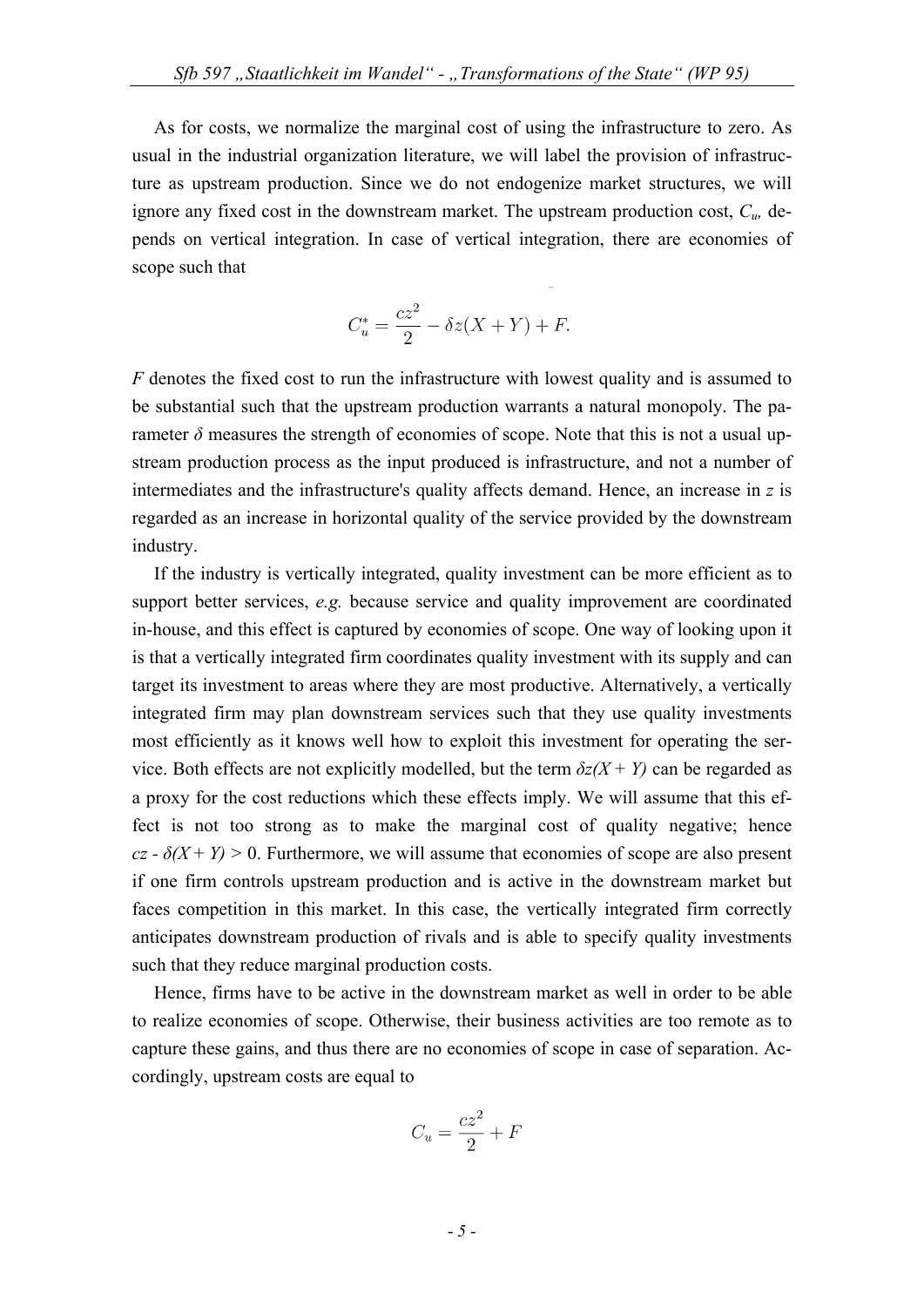As for costs, we normalize the marginal cost of using the infrastructure to zero. As usual in the industrial organization literature, we will label the provision of infrastructure as upstream production. Since we do not endogenize market structures, we will ignore any fixed cost in the downstream market. The upstream production cost, *Cu,* depends on vertical integration. In case of vertical integration, there are economies of scope such that

$$
C_u^* = \frac{cz^2}{2} - \delta z(X+Y) + F.
$$

*F* denotes the fixed cost to run the infrastructure with lowest quality and is assumed to be substantial such that the upstream production warrants a natural monopoly. The parameter  $\delta$  measures the strength of economies of scope. Note that this is not a usual upstream production process as the input produced is infrastructure, and not a number of intermediates and the infrastructure's quality affects demand. Hence, an increase in *z* is regarded as an increase in horizontal quality of the service provided by the downstream industry.

If the industry is vertically integrated, quality investment can be more efficient as to support better services, *e.g.* because service and quality improvement are coordinated in-house, and this effect is captured by economies of scope. One way of looking upon it is that a vertically integrated firm coordinates quality investment with its supply and can target its investment to areas where they are most productive. Alternatively, a vertically integrated firm may plan downstream services such that they use quality investments most efficiently as it knows well how to exploit this investment for operating the service. Both effects are not explicitly modelled, but the term  $\delta z(X + Y)$  can be regarded as a proxy for the cost reductions which these effects imply. We will assume that this effect is not too strong as to make the marginal cost of quality negative; hence  $cz - \delta(X + Y) > 0$ . Furthermore, we will assume that economies of scope are also present if one firm controls upstream production and is active in the downstream market but faces competition in this market. In this case, the vertically integrated firm correctly anticipates downstream production of rivals and is able to specify quality investments such that they reduce marginal production costs.

Hence, firms have to be active in the downstream market as well in order to be able to realize economies of scope. Otherwise, their business activities are too remote as to capture these gains, and thus there are no economies of scope in case of separation. Accordingly, upstream costs are equal to

$$
C_u = \frac{cz^2}{2} + F
$$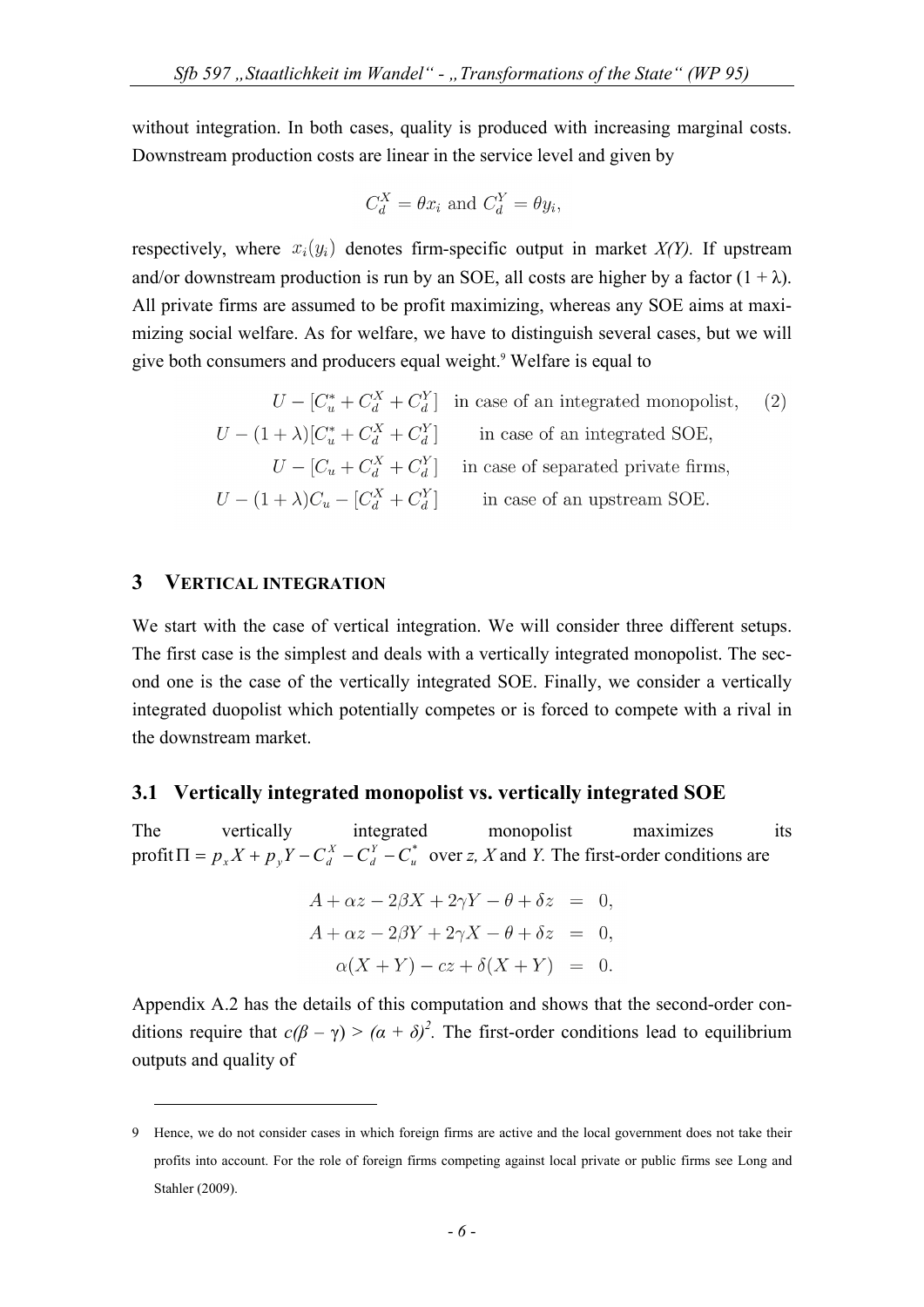without integration. In both cases, quality is produced with increasing marginal costs. Downstream production costs are linear in the service level and given by

$$
C_d^X = \theta x_i
$$
 and  $C_d^Y = \theta y_i$ ,

respectively, where  $x_i(y_i)$  denotes firm-specific output in market  $X(Y)$ . If upstream and/or downstream production is run by an SOE, all costs are higher by a factor  $(1 + \lambda)$ . All private firms are assumed to be profit maximizing, whereas any SOE aims at maximizing social welfare. As for welfare, we have to distinguish several cases, but we will give both consumers and producers equal weight.<sup>9</sup> Welfare is equal to

$$
U - [C_u^* + C_d^X + C_d^Y] \text{ in case of an integrated monopolist,} \qquad (2)
$$
  
\n
$$
U - (1 + \lambda)[C_u^* + C_d^X + C_d^Y] \text{ in case of an integrated SOE,}
$$
  
\n
$$
U - [C_u + C_d^X + C_d^Y] \text{ in case of separated private firms,}
$$
  
\n
$$
U - (1 + \lambda)C_u - [C_d^X + C_d^Y] \text{ in case of an upstream SOE.}
$$

## **3 VERTICAL INTEGRATION**

<u>.</u>

We start with the case of vertical integration. We will consider three different setups. The first case is the simplest and deals with a vertically integrated monopolist. The second one is the case of the vertically integrated SOE. Finally, we consider a vertically integrated duopolist which potentially competes or is forced to compete with a rival in the downstream market.

#### **3.1 Vertically integrated monopolist vs. vertically integrated SOE**

The vertically integrated monopolist maximizes its  $\text{profit } \Pi = p_x X + p_y Y - C_d^X - C_d^Y - C_u^*$ *Y*  $\Pi = p_x X + p_y Y - C_d^X - C_d^Y - C_u^*$  over *z*, *X* and *Y*. The first-order conditions are

$$
A + \alpha z - 2\beta X + 2\gamma Y - \theta + \delta z = 0,
$$
  
\n
$$
A + \alpha z - 2\beta Y + 2\gamma X - \theta + \delta z = 0,
$$
  
\n
$$
\alpha(X + Y) - cz + \delta(X + Y) = 0.
$$

Appendix A.2 has the details of this computation and shows that the second-order conditions require that  $c(\beta - \gamma) > (\alpha + \delta)^2$ . The first-order conditions lead to equilibrium outputs and quality of

<sup>9</sup> Hence, we do not consider cases in which foreign firms are active and the local government does not take their profits into account. For the role of foreign firms competing against local private or public firms see Long and Stahler (2009).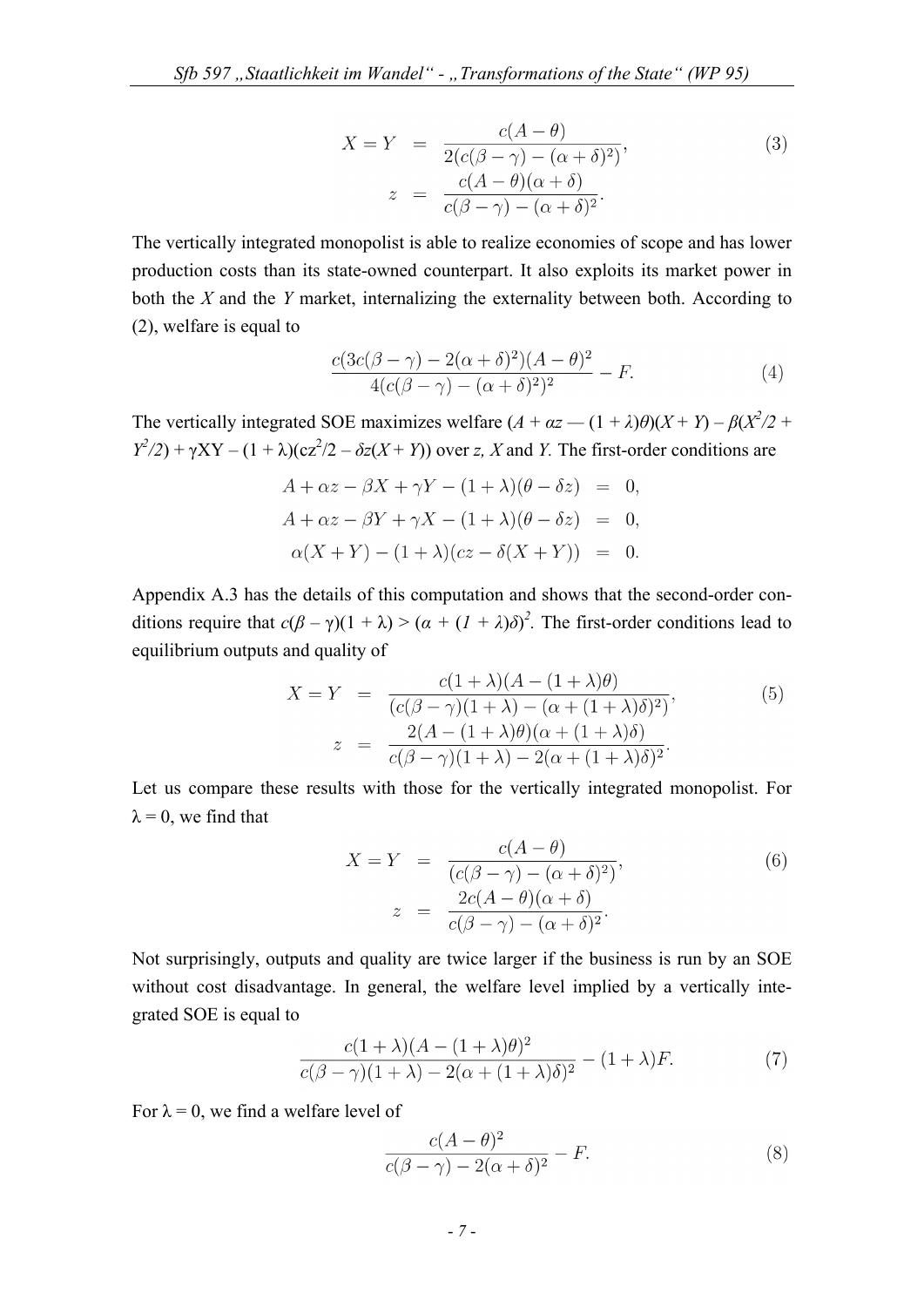$$
X = Y = \frac{c(A - \theta)}{2(c(\beta - \gamma) - (\alpha + \delta)^2)},
$$
  
\n
$$
z = \frac{c(A - \theta)(\alpha + \delta)}{c(\beta - \gamma) - (\alpha + \delta)^2}.
$$
\n(3)

The vertically integrated monopolist is able to realize economies of scope and has lower production costs than its state-owned counterpart. It also exploits its market power in both the *X* and the *Y* market, internalizing the externality between both. According to (2), welfare is equal to

$$
\frac{c(3c(\beta-\gamma)-2(\alpha+\delta)^2)(A-\theta)^2}{4(c(\beta-\gamma)-(\alpha+\delta)^2)^2} - F.
$$
\n(4)

The vertically integrated SOE maximizes welfare  $(A + \alpha z - (1 + \lambda)\theta)(X + Y) - \beta(X^2/2 + \theta)$  $Y^2/2$ ) +  $\gamma XY - (1 + \lambda)(cz^2/2 - \delta z(X + Y))$  over *z*, *X* and *Y*. The first-order conditions are

$$
A + \alpha z - \beta X + \gamma Y - (1 + \lambda)(\theta - \delta z) = 0,
$$
  
\n
$$
A + \alpha z - \beta Y + \gamma X - (1 + \lambda)(\theta - \delta z) = 0,
$$
  
\n
$$
\alpha(X + Y) - (1 + \lambda)(cz - \delta(X + Y)) = 0.
$$

Appendix A.3 has the details of this computation and shows that the second-order conditions require that  $c(\beta - \gamma)(1 + \lambda) > (\alpha + (1 + \lambda)\delta)^2$ . The first-order conditions lead to equilibrium outputs and quality of

$$
X = Y = \frac{c(1+\lambda)(A - (1+\lambda)\theta)}{(c(\beta - \gamma)(1+\lambda) - (\alpha + (1+\lambda)\delta)^2)},
$$
  
\n
$$
z = \frac{2(A - (1+\lambda)\theta)(\alpha + (1+\lambda)\delta)}{c(\beta - \gamma)(1+\lambda) - 2(\alpha + (1+\lambda)\delta)^2}.
$$
\n(5)

Let us compare these results with those for the vertically integrated monopolist. For  $\lambda = 0$ , we find that

$$
X = Y = \frac{c(A - \theta)}{(c(\beta - \gamma) - (\alpha + \delta)^2)},
$$
  
\n
$$
z = \frac{2c(A - \theta)(\alpha + \delta)}{c(\beta - \gamma) - (\alpha + \delta)^2}.
$$
\n(6)

Not surprisingly, outputs and quality are twice larger if the business is run by an SOE without cost disadvantage. In general, the welfare level implied by a vertically integrated SOE is equal to

$$
\frac{c(1+\lambda)(A - (1+\lambda)\theta)^2}{c(\beta - \gamma)(1+\lambda) - 2(\alpha + (1+\lambda)\delta)^2} - (1+\lambda)F.
$$
 (7)

For  $\lambda = 0$ , we find a welfare level of

$$
\frac{c(A - \theta)^2}{c(\beta - \gamma) - 2(\alpha + \delta)^2} - F.
$$
\n(8)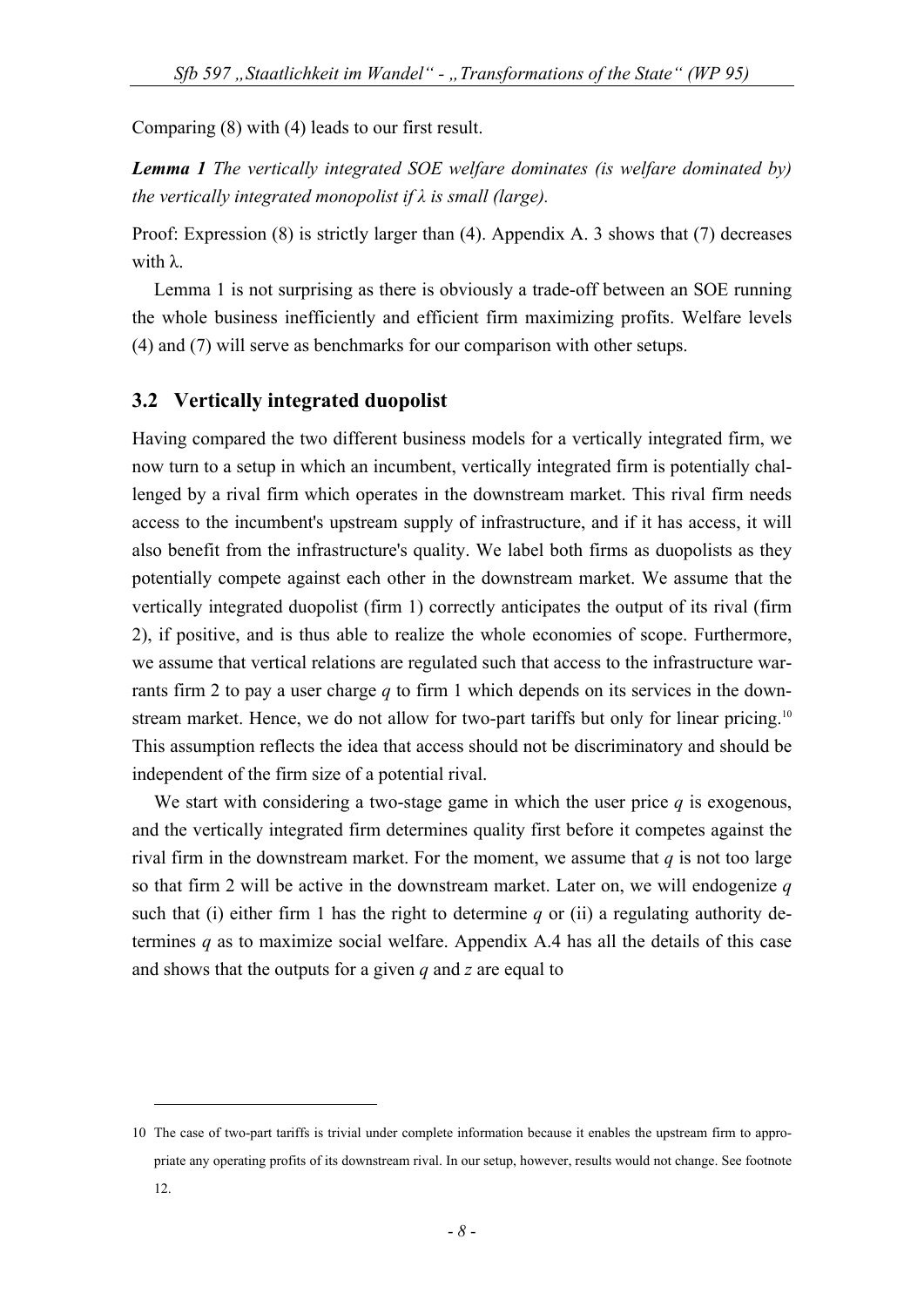Comparing (8) with (4) leads to our first result.

*Lemma 1 The vertically integrated SOE welfare dominates (is welfare dominated by) the vertically integrated monopolist if λ is small (large).* 

Proof: Expression (8) is strictly larger than (4). Appendix A. 3 shows that (7) decreases with λ.

Lemma 1 is not surprising as there is obviously a trade-off between an SOE running the whole business inefficiently and efficient firm maximizing profits. Welfare levels (4) and (7) will serve as benchmarks for our comparison with other setups.

## **3.2 Vertically integrated duopolist**

<u>.</u>

Having compared the two different business models for a vertically integrated firm, we now turn to a setup in which an incumbent, vertically integrated firm is potentially challenged by a rival firm which operates in the downstream market. This rival firm needs access to the incumbent's upstream supply of infrastructure, and if it has access, it will also benefit from the infrastructure's quality. We label both firms as duopolists as they potentially compete against each other in the downstream market. We assume that the vertically integrated duopolist (firm 1) correctly anticipates the output of its rival (firm 2), if positive, and is thus able to realize the whole economies of scope. Furthermore, we assume that vertical relations are regulated such that access to the infrastructure warrants firm 2 to pay a user charge *q* to firm 1 which depends on its services in the downstream market. Hence, we do not allow for two-part tariffs but only for linear pricing.<sup>10</sup> This assumption reflects the idea that access should not be discriminatory and should be independent of the firm size of a potential rival.

We start with considering a two-stage game in which the user price *q* is exogenous, and the vertically integrated firm determines quality first before it competes against the rival firm in the downstream market. For the moment, we assume that  $q$  is not too large so that firm 2 will be active in the downstream market. Later on, we will endogenize *q*  such that (i) either firm 1 has the right to determine *q* or (ii) a regulating authority determines *q* as to maximize social welfare. Appendix A.4 has all the details of this case and shows that the outputs for a given *q* and *z* are equal to

<sup>10</sup> The case of two-part tariffs is trivial under complete information because it enables the upstream firm to appropriate any operating profits of its downstream rival. In our setup, however, results would not change. See footnote 12.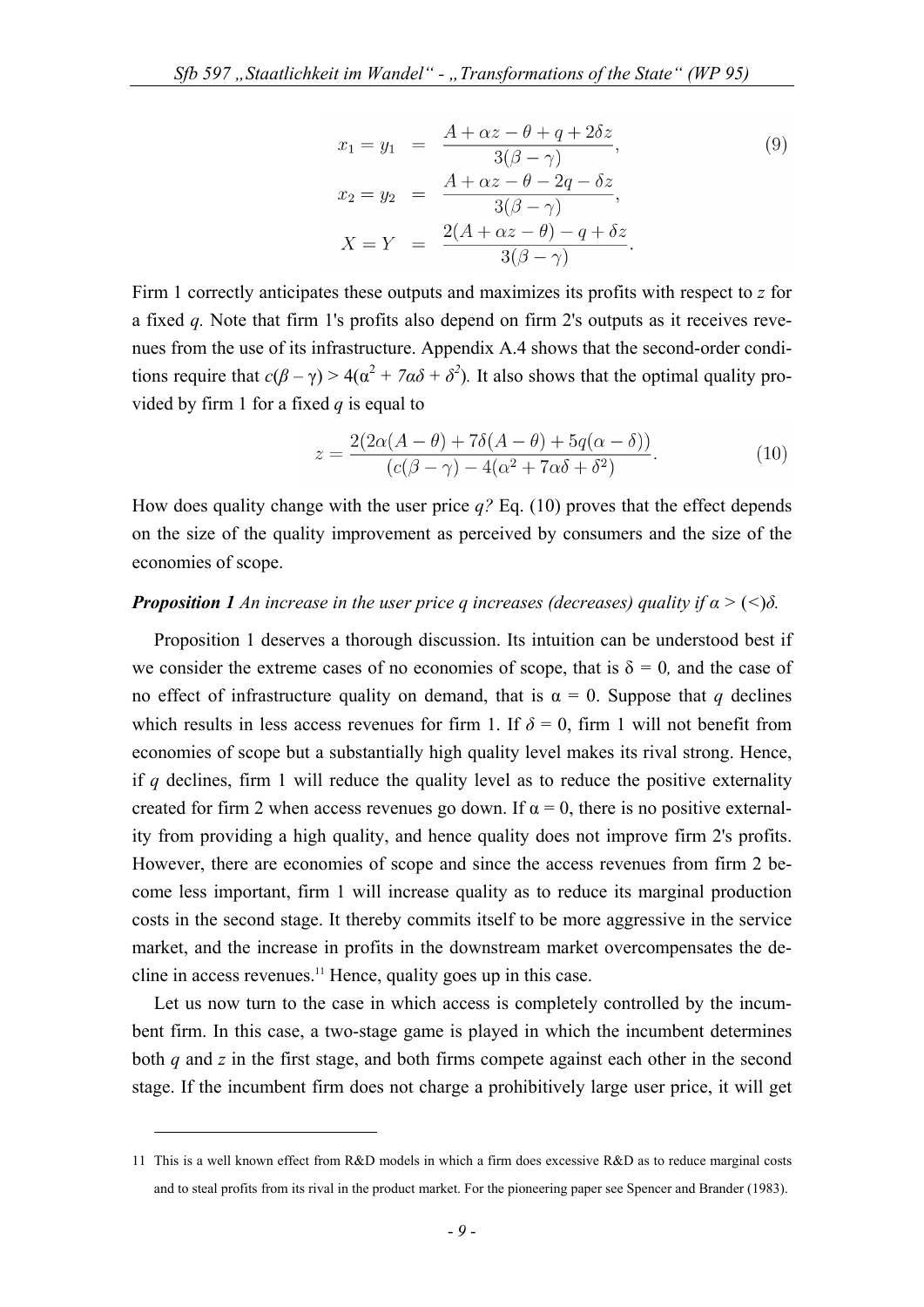$$
x_1 = y_1 = \frac{A + \alpha z - \theta + q + 2\delta z}{3(\beta - \gamma)},
$$
  
\n
$$
x_2 = y_2 = \frac{A + \alpha z - \theta - 2q - \delta z}{3(\beta - \gamma)},
$$
  
\n
$$
X = Y = \frac{2(A + \alpha z - \theta) - q + \delta z}{3(\beta - \gamma)}.
$$
  
\n(9)

Firm 1 correctly anticipates these outputs and maximizes its profits with respect to *z* for a fixed *q.* Note that firm 1's profits also depend on firm 2's outputs as it receives revenues from the use of its infrastructure. Appendix A.4 shows that the second-order conditions require that  $c(\beta - \gamma) > 4(\alpha^2 + 7\alpha\delta + \delta^2)$ . It also shows that the optimal quality provided by firm 1 for a fixed *q* is equal to

$$
z = \frac{2(2\alpha(A - \theta) + 7\delta(A - \theta) + 5q(\alpha - \delta))}{(c(\beta - \gamma) - 4(\alpha^2 + 7\alpha\delta + \delta^2)}.
$$
\n(10)

How does quality change with the user price *q?* Eq. (10) proves that the effect depends on the size of the quality improvement as perceived by consumers and the size of the economies of scope.

### *Proposition 1 An increase in the user price q increases (decreases) quality if*  $\alpha$  *> (<)* $\delta$ *.*

Proposition 1 deserves a thorough discussion. Its intuition can be understood best if we consider the extreme cases of no economies of scope, that is  $\delta = 0$ , and the case of no effect of infrastructure quality on demand, that is  $\alpha = 0$ . Suppose that *q* declines which results in less access revenues for firm 1. If  $\delta = 0$ , firm 1 will not benefit from economies of scope but a substantially high quality level makes its rival strong. Hence, if *q* declines, firm 1 will reduce the quality level as to reduce the positive externality created for firm 2 when access revenues go down. If  $\alpha = 0$ , there is no positive externality from providing a high quality, and hence quality does not improve firm 2's profits. However, there are economies of scope and since the access revenues from firm 2 become less important, firm 1 will increase quality as to reduce its marginal production costs in the second stage. It thereby commits itself to be more aggressive in the service market, and the increase in profits in the downstream market overcompensates the decline in access revenues.<sup>11</sup> Hence, quality goes up in this case.

Let us now turn to the case in which access is completely controlled by the incumbent firm. In this case, a two-stage game is played in which the incumbent determines both *q* and *z* in the first stage, and both firms compete against each other in the second stage. If the incumbent firm does not charge a prohibitively large user price, it will get

<u>.</u>

<sup>11</sup> This is a well known effect from R&D models in which a firm does excessive R&D as to reduce marginal costs and to steal profits from its rival in the product market. For the pioneering paper see Spencer and Brander (1983).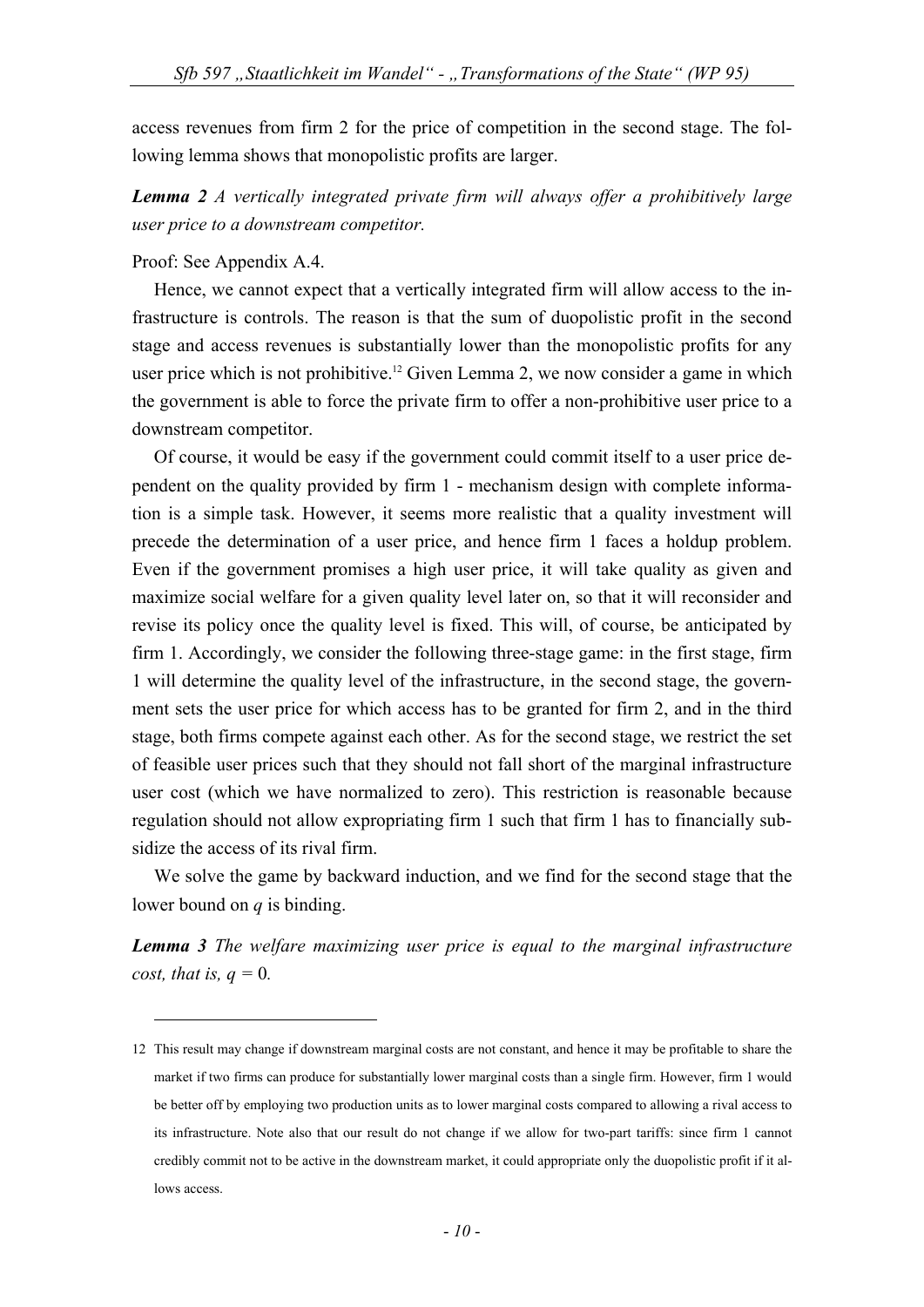access revenues from firm 2 for the price of competition in the second stage. The following lemma shows that monopolistic profits are larger.

# *Lemma 2 A vertically integrated private firm will always offer a prohibitively large user price to a downstream competitor.*

#### Proof: See Appendix A.4.

<u>.</u>

Hence, we cannot expect that a vertically integrated firm will allow access to the infrastructure is controls. The reason is that the sum of duopolistic profit in the second stage and access revenues is substantially lower than the monopolistic profits for any user price which is not prohibitive.<sup>12</sup> Given Lemma 2, we now consider a game in which the government is able to force the private firm to offer a non-prohibitive user price to a downstream competitor.

Of course, it would be easy if the government could commit itself to a user price dependent on the quality provided by firm 1 - mechanism design with complete information is a simple task. However, it seems more realistic that a quality investment will precede the determination of a user price, and hence firm 1 faces a holdup problem. Even if the government promises a high user price, it will take quality as given and maximize social welfare for a given quality level later on, so that it will reconsider and revise its policy once the quality level is fixed. This will, of course, be anticipated by firm 1. Accordingly, we consider the following three-stage game: in the first stage, firm 1 will determine the quality level of the infrastructure, in the second stage, the government sets the user price for which access has to be granted for firm 2, and in the third stage, both firms compete against each other. As for the second stage, we restrict the set of feasible user prices such that they should not fall short of the marginal infrastructure user cost (which we have normalized to zero). This restriction is reasonable because regulation should not allow expropriating firm 1 such that firm 1 has to financially subsidize the access of its rival firm.

We solve the game by backward induction, and we find for the second stage that the lower bound on *q* is binding.

*Lemma 3 The welfare maximizing user price is equal to the marginal infrastructure cost, that is,*  $q = 0$ *.* 

<sup>12</sup> This result may change if downstream marginal costs are not constant, and hence it may be profitable to share the market if two firms can produce for substantially lower marginal costs than a single firm. However, firm 1 would be better off by employing two production units as to lower marginal costs compared to allowing a rival access to its infrastructure. Note also that our result do not change if we allow for two-part tariffs: since firm 1 cannot credibly commit not to be active in the downstream market, it could appropriate only the duopolistic profit if it allows access.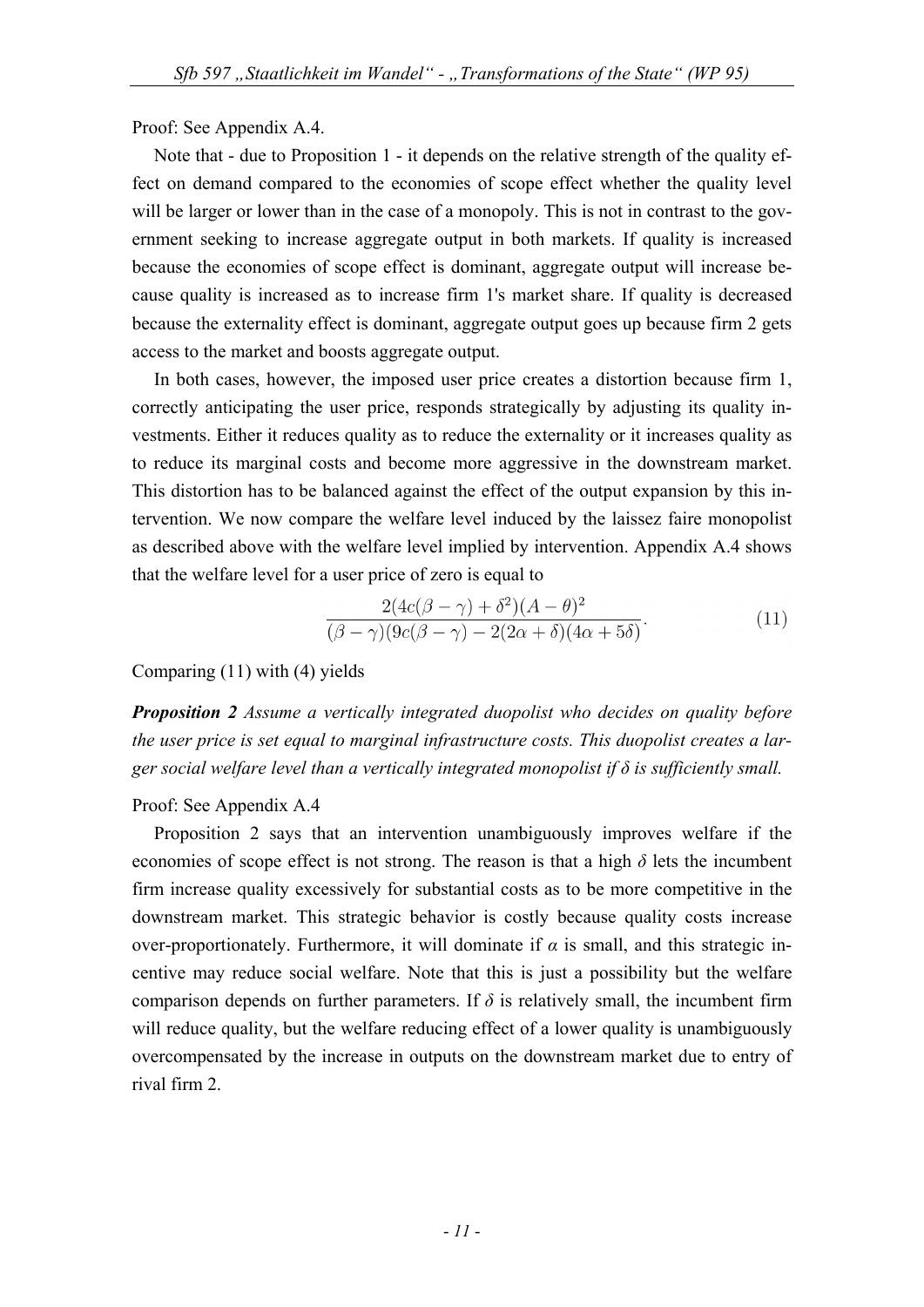Proof: See Appendix A.4.

Note that - due to Proposition 1 - it depends on the relative strength of the quality effect on demand compared to the economies of scope effect whether the quality level will be larger or lower than in the case of a monopoly. This is not in contrast to the government seeking to increase aggregate output in both markets. If quality is increased because the economies of scope effect is dominant, aggregate output will increase because quality is increased as to increase firm 1's market share. If quality is decreased because the externality effect is dominant, aggregate output goes up because firm 2 gets access to the market and boosts aggregate output.

In both cases, however, the imposed user price creates a distortion because firm 1, correctly anticipating the user price, responds strategically by adjusting its quality investments. Either it reduces quality as to reduce the externality or it increases quality as to reduce its marginal costs and become more aggressive in the downstream market. This distortion has to be balanced against the effect of the output expansion by this intervention. We now compare the welfare level induced by the laissez faire monopolist as described above with the welfare level implied by intervention. Appendix A.4 shows that the welfare level for a user price of zero is equal to

$$
\frac{2(4c(\beta-\gamma)+\delta^2)(A-\theta)^2}{(\beta-\gamma)(9c(\beta-\gamma)-2(2\alpha+\delta)(4\alpha+5\delta)}.
$$
\n(11)

Comparing (11) with (4) yields

*Proposition 2 Assume a vertically integrated duopolist who decides on quality before the user price is set equal to marginal infrastructure costs. This duopolist creates a larger social welfare level than a vertically integrated monopolist if δ is sufficiently small.* 

# Proof: See Appendix A.4

Proposition 2 says that an intervention unambiguously improves welfare if the economies of scope effect is not strong. The reason is that a high  $\delta$  lets the incumbent firm increase quality excessively for substantial costs as to be more competitive in the downstream market. This strategic behavior is costly because quality costs increase over-proportionately. Furthermore, it will dominate if *α* is small, and this strategic incentive may reduce social welfare. Note that this is just a possibility but the welfare comparison depends on further parameters. If  $\delta$  is relatively small, the incumbent firm will reduce quality, but the welfare reducing effect of a lower quality is unambiguously overcompensated by the increase in outputs on the downstream market due to entry of rival firm 2.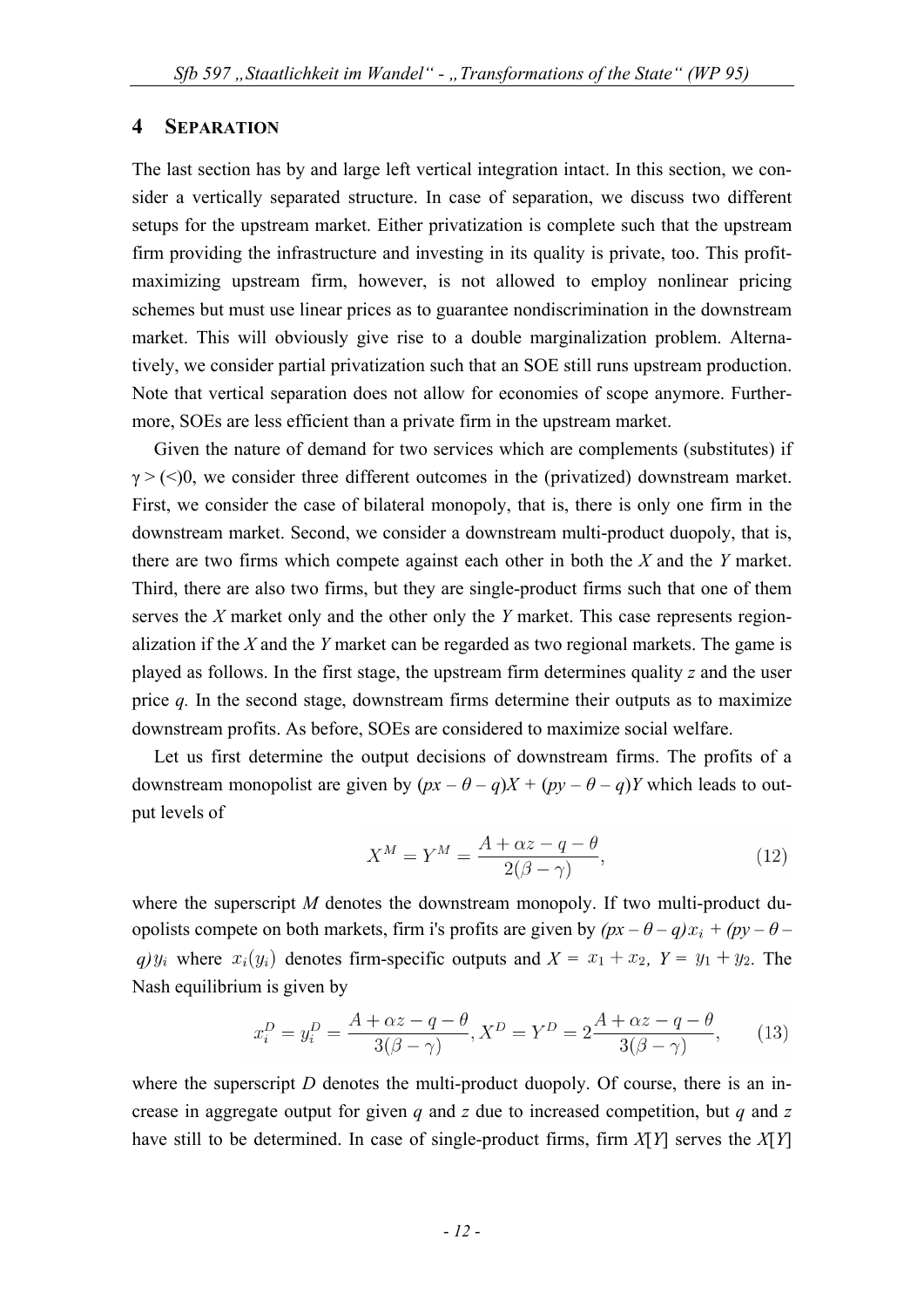## **4 SEPARATION**

The last section has by and large left vertical integration intact. In this section, we consider a vertically separated structure. In case of separation, we discuss two different setups for the upstream market. Either privatization is complete such that the upstream firm providing the infrastructure and investing in its quality is private, too. This profitmaximizing upstream firm, however, is not allowed to employ nonlinear pricing schemes but must use linear prices as to guarantee nondiscrimination in the downstream market. This will obviously give rise to a double marginalization problem. Alternatively, we consider partial privatization such that an SOE still runs upstream production. Note that vertical separation does not allow for economies of scope anymore. Furthermore, SOEs are less efficient than a private firm in the upstream market.

Given the nature of demand for two services which are complements (substitutes) if  $\gamma$  > (<)0, we consider three different outcomes in the (privatized) downstream market. First, we consider the case of bilateral monopoly, that is, there is only one firm in the downstream market. Second, we consider a downstream multi-product duopoly, that is, there are two firms which compete against each other in both the *X* and the *Y* market. Third, there are also two firms, but they are single-product firms such that one of them serves the *X* market only and the other only the *Y* market. This case represents regionalization if the *X* and the *Y* market can be regarded as two regional markets. The game is played as follows. In the first stage, the upstream firm determines quality *z* and the user price *q.* In the second stage, downstream firms determine their outputs as to maximize downstream profits. As before, SOEs are considered to maximize social welfare.

Let us first determine the output decisions of downstream firms. The profits of a downstream monopolist are given by  $(px - \theta - q)X + (py - \theta - q)Y$  which leads to output levels of

$$
X^{M} = Y^{M} = \frac{A + \alpha z - q - \theta}{2(\beta - \gamma)},
$$
\n(12)

where the superscript *M* denotes the downstream monopoly. If two multi-product duopolists compete on both markets, firm i's profits are given by  $(px - \theta - q)x_i + (py - \theta - q)$ *q)*  $y_i$  where  $x_i(y_i)$  denotes firm-specific outputs and  $X = x_1 + x_2$ ,  $Y = y_1 + y_2$ . The Nash equilibrium is given by

$$
x_i^D = y_i^D = \frac{A + \alpha z - q - \theta}{3(\beta - \gamma)}, X^D = Y^D = 2\frac{A + \alpha z - q - \theta}{3(\beta - \gamma)},
$$
(13)

where the superscript  $D$  denotes the multi-product duopoly. Of course, there is an increase in aggregate output for given *q* and *z* due to increased competition, but *q* and *z*  have still to be determined. In case of single-product firms, firm *X*[*Y*] serves the *X*[*Y*]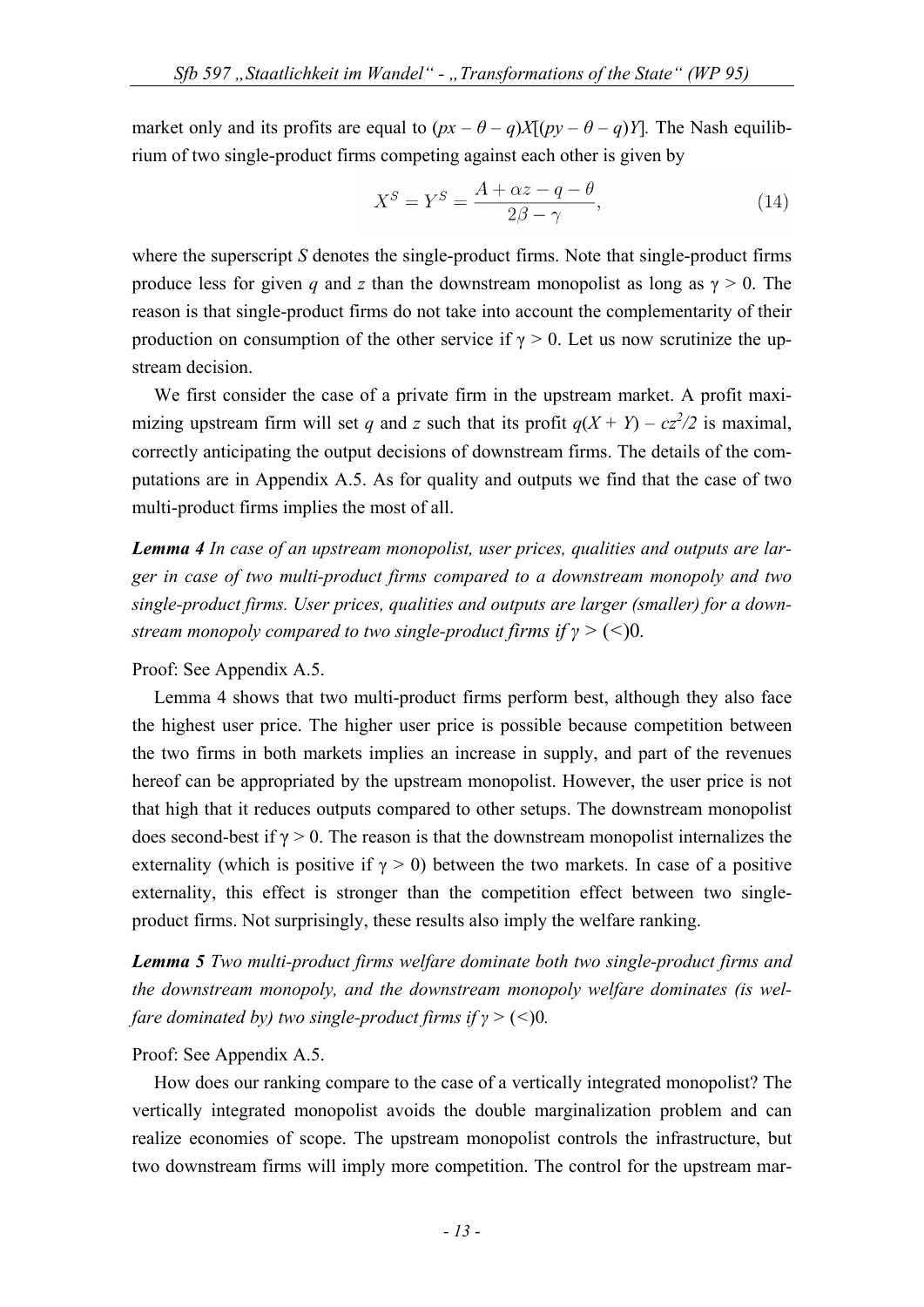market only and its profits are equal to  $(px - \theta - q)X[(py - \theta - q)Y]$ . The Nash equilibrium of two single-product firms competing against each other is given by

$$
X^{S} = Y^{S} = \frac{A + \alpha z - q - \theta}{2\beta - \gamma},
$$
\n(14)

where the superscript *S* denotes the single-product firms. Note that single-product firms produce less for given *q* and *z* than the downstream monopolist as long as  $\gamma > 0$ . The reason is that single-product firms do not take into account the complementarity of their production on consumption of the other service if  $\gamma > 0$ . Let us now scrutinize the upstream decision.

We first consider the case of a private firm in the upstream market. A profit maximizing upstream firm will set *q* and *z* such that its profit  $q(X + Y) - cz^2/2$  is maximal, correctly anticipating the output decisions of downstream firms. The details of the computations are in Appendix A.5. As for quality and outputs we find that the case of two multi-product firms implies the most of all.

*Lemma 4 In case of an upstream monopolist, user prices, qualities and outputs are larger in case of two multi-product firms compared to a downstream monopoly and two single-product firms. User prices, qualities and outputs are larger (smaller) for a downstream monopoly compared to two single-product firms if γ >* (*<*)0*.*

#### Proof: See Appendix A.5.

Lemma 4 shows that two multi-product firms perform best, although they also face the highest user price. The higher user price is possible because competition between the two firms in both markets implies an increase in supply, and part of the revenues hereof can be appropriated by the upstream monopolist. However, the user price is not that high that it reduces outputs compared to other setups. The downstream monopolist does second-best if  $\gamma > 0$ . The reason is that the downstream monopolist internalizes the externality (which is positive if  $\gamma > 0$ ) between the two markets. In case of a positive externality, this effect is stronger than the competition effect between two singleproduct firms. Not surprisingly, these results also imply the welfare ranking.

*Lemma 5 Two multi-product firms welfare dominate both two single-product firms and the downstream monopoly, and the downstream monopoly welfare dominates (is welfare dominated by) two single-product firms if*  $\gamma$  *> (<)0.* 

## Proof: See Appendix A.5.

How does our ranking compare to the case of a vertically integrated monopolist? The vertically integrated monopolist avoids the double marginalization problem and can realize economies of scope. The upstream monopolist controls the infrastructure, but two downstream firms will imply more competition. The control for the upstream mar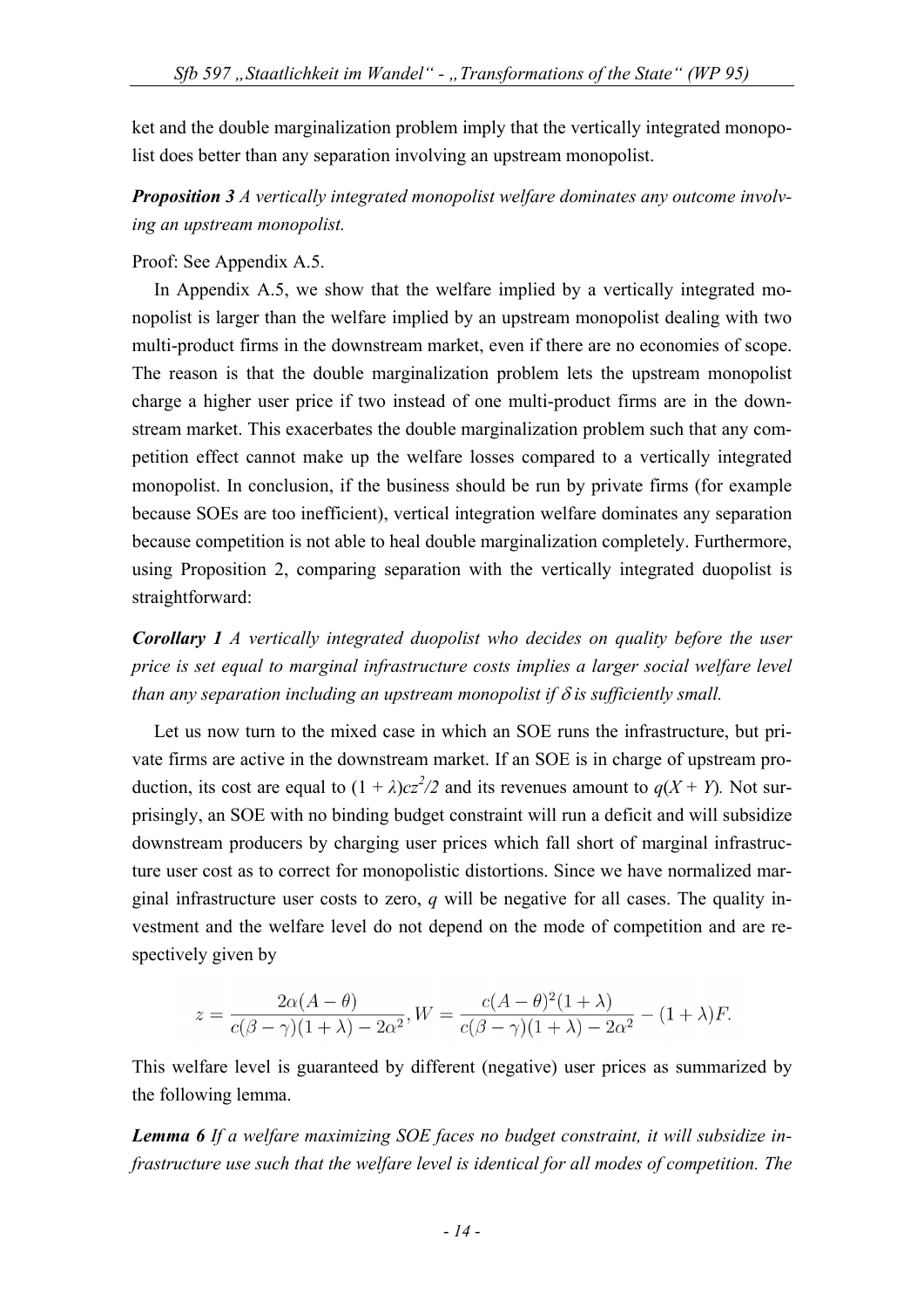ket and the double marginalization problem imply that the vertically integrated monopolist does better than any separation involving an upstream monopolist.

*Proposition 3 A vertically integrated monopolist welfare dominates any outcome involving an upstream monopolist.* 

## Proof: See Appendix A.5.

In Appendix A.5, we show that the welfare implied by a vertically integrated monopolist is larger than the welfare implied by an upstream monopolist dealing with two multi-product firms in the downstream market, even if there are no economies of scope. The reason is that the double marginalization problem lets the upstream monopolist charge a higher user price if two instead of one multi-product firms are in the downstream market. This exacerbates the double marginalization problem such that any competition effect cannot make up the welfare losses compared to a vertically integrated monopolist. In conclusion, if the business should be run by private firms (for example because SOEs are too inefficient), vertical integration welfare dominates any separation because competition is not able to heal double marginalization completely. Furthermore, using Proposition 2, comparing separation with the vertically integrated duopolist is straightforward:

*Corollary 1 A vertically integrated duopolist who decides on quality before the user price is set equal to marginal infrastructure costs implies a larger social welfare level than any separation including an upstream monopolist if*  $\delta$  *is sufficiently small.* 

Let us now turn to the mixed case in which an SOE runs the infrastructure, but private firms are active in the downstream market. If an SOE is in charge of upstream production, its cost are equal to  $(1 + \lambda)cz^2/2$  and its revenues amount to  $q(X + Y)$ . Not surprisingly, an SOE with no binding budget constraint will run a deficit and will subsidize downstream producers by charging user prices which fall short of marginal infrastructure user cost as to correct for monopolistic distortions. Since we have normalized marginal infrastructure user costs to zero, *q* will be negative for all cases. The quality investment and the welfare level do not depend on the mode of competition and are respectively given by

$$
z = \frac{2\alpha(A - \theta)}{c(\beta - \gamma)(1 + \lambda) - 2\alpha^2}, W = \frac{c(A - \theta)^2(1 + \lambda)}{c(\beta - \gamma)(1 + \lambda) - 2\alpha^2} - (1 + \lambda)F.
$$

This welfare level is guaranteed by different (negative) user prices as summarized by the following lemma.

*Lemma 6 If a welfare maximizing SOE faces no budget constraint, it will subsidize infrastructure use such that the welfare level is identical for all modes of competition. The*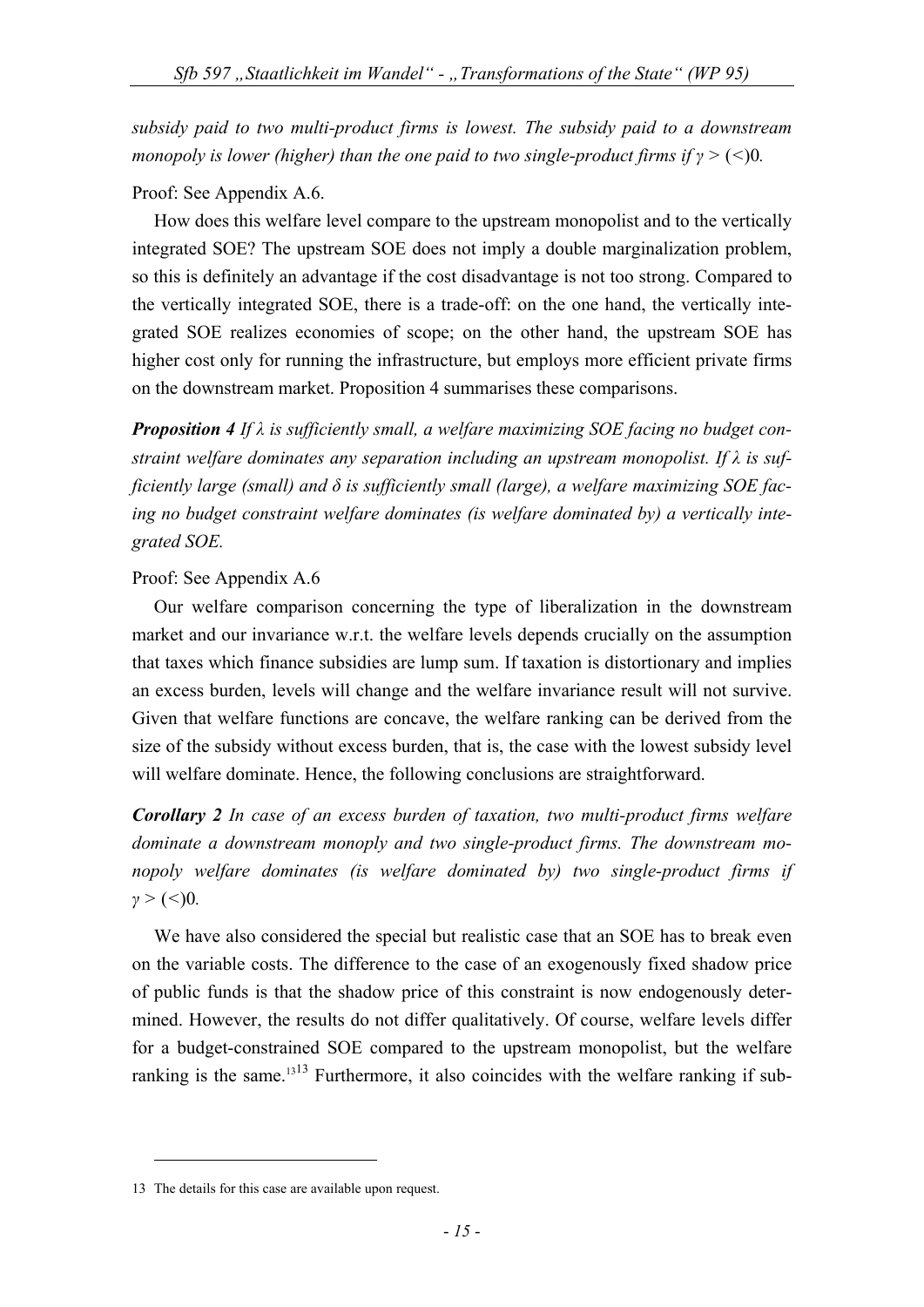*subsidy paid to two multi-product firms is lowest. The subsidy paid to a downstream monopoly is lower (higher) than the one paid to two single-product firms if γ >* (*<*)0*.* 

# Proof: See Appendix A.6.

How does this welfare level compare to the upstream monopolist and to the vertically integrated SOE? The upstream SOE does not imply a double marginalization problem, so this is definitely an advantage if the cost disadvantage is not too strong. Compared to the vertically integrated SOE, there is a trade-off: on the one hand, the vertically integrated SOE realizes economies of scope; on the other hand, the upstream SOE has higher cost only for running the infrastructure, but employs more efficient private firms on the downstream market. Proposition 4 summarises these comparisons.

*Proposition 4 If λ is sufficiently small, a welfare maximizing SOE facing no budget constraint welfare dominates any separation including an upstream monopolist. If λ is sufficiently large (small) and δ is sufficiently small (large), a welfare maximizing SOE facing no budget constraint welfare dominates (is welfare dominated by) a vertically integrated SOE.* 

# Proof: See Appendix A.6

Our welfare comparison concerning the type of liberalization in the downstream market and our invariance w.r.t. the welfare levels depends crucially on the assumption that taxes which finance subsidies are lump sum. If taxation is distortionary and implies an excess burden, levels will change and the welfare invariance result will not survive. Given that welfare functions are concave, the welfare ranking can be derived from the size of the subsidy without excess burden, that is, the case with the lowest subsidy level will welfare dominate. Hence, the following conclusions are straightforward.

*Corollary 2 In case of an excess burden of taxation, two multi-product firms welfare dominate a downstream monoply and two single-product firms. The downstream monopoly welfare dominates (is welfare dominated by) two single-product firms if γ >* (*<*)0*.* 

We have also considered the special but realistic case that an SOE has to break even on the variable costs. The difference to the case of an exogenously fixed shadow price of public funds is that the shadow price of this constraint is now endogenously determined. However, the results do not differ qualitatively. Of course, welfare levels differ for a budget-constrained SOE compared to the upstream monopolist, but the welfare ranking is the same.<sup>1313</sup> Furthermore, it also coincides with the welfare ranking if sub-

<u>.</u>

<sup>13</sup> The details for this case are available upon request.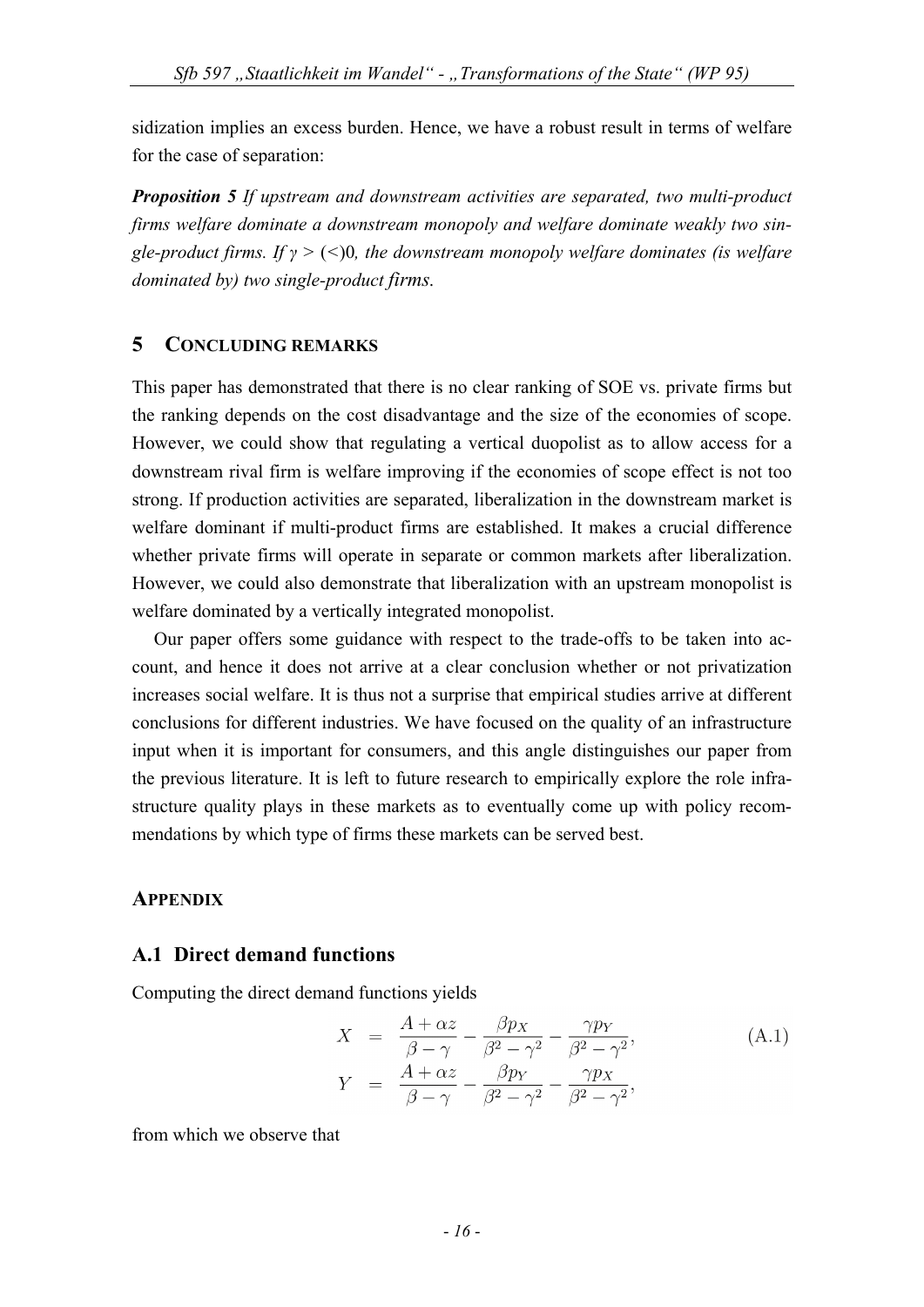sidization implies an excess burden. Hence, we have a robust result in terms of welfare for the case of separation:

*Proposition 5 If upstream and downstream activities are separated, two multi-product firms welfare dominate a downstream monopoly and welfare dominate weakly two single-product firms. If γ >* (*<*)0*, the downstream monopoly welfare dominates (is welfare dominated by) two single-product firms.*

## **5 CONCLUDING REMARKS**

This paper has demonstrated that there is no clear ranking of SOE vs. private firms but the ranking depends on the cost disadvantage and the size of the economies of scope. However, we could show that regulating a vertical duopolist as to allow access for a downstream rival firm is welfare improving if the economies of scope effect is not too strong. If production activities are separated, liberalization in the downstream market is welfare dominant if multi-product firms are established. It makes a crucial difference whether private firms will operate in separate or common markets after liberalization. However, we could also demonstrate that liberalization with an upstream monopolist is welfare dominated by a vertically integrated monopolist.

Our paper offers some guidance with respect to the trade-offs to be taken into account, and hence it does not arrive at a clear conclusion whether or not privatization increases social welfare. It is thus not a surprise that empirical studies arrive at different conclusions for different industries. We have focused on the quality of an infrastructure input when it is important for consumers, and this angle distinguishes our paper from the previous literature. It is left to future research to empirically explore the role infrastructure quality plays in these markets as to eventually come up with policy recommendations by which type of firms these markets can be served best.

## **APPENDIX**

## **A.1 Direct demand functions**

Computing the direct demand functions yields

$$
X = \frac{A + \alpha z}{\beta - \gamma} - \frac{\beta p x}{\beta^2 - \gamma^2} - \frac{\gamma p y}{\beta^2 - \gamma^2},
$$
  
\n
$$
Y = \frac{A + \alpha z}{\beta - \gamma} - \frac{\beta p y}{\beta^2 - \gamma^2} - \frac{\gamma p x}{\beta^2 - \gamma^2},
$$
\n(A.1)

from which we observe that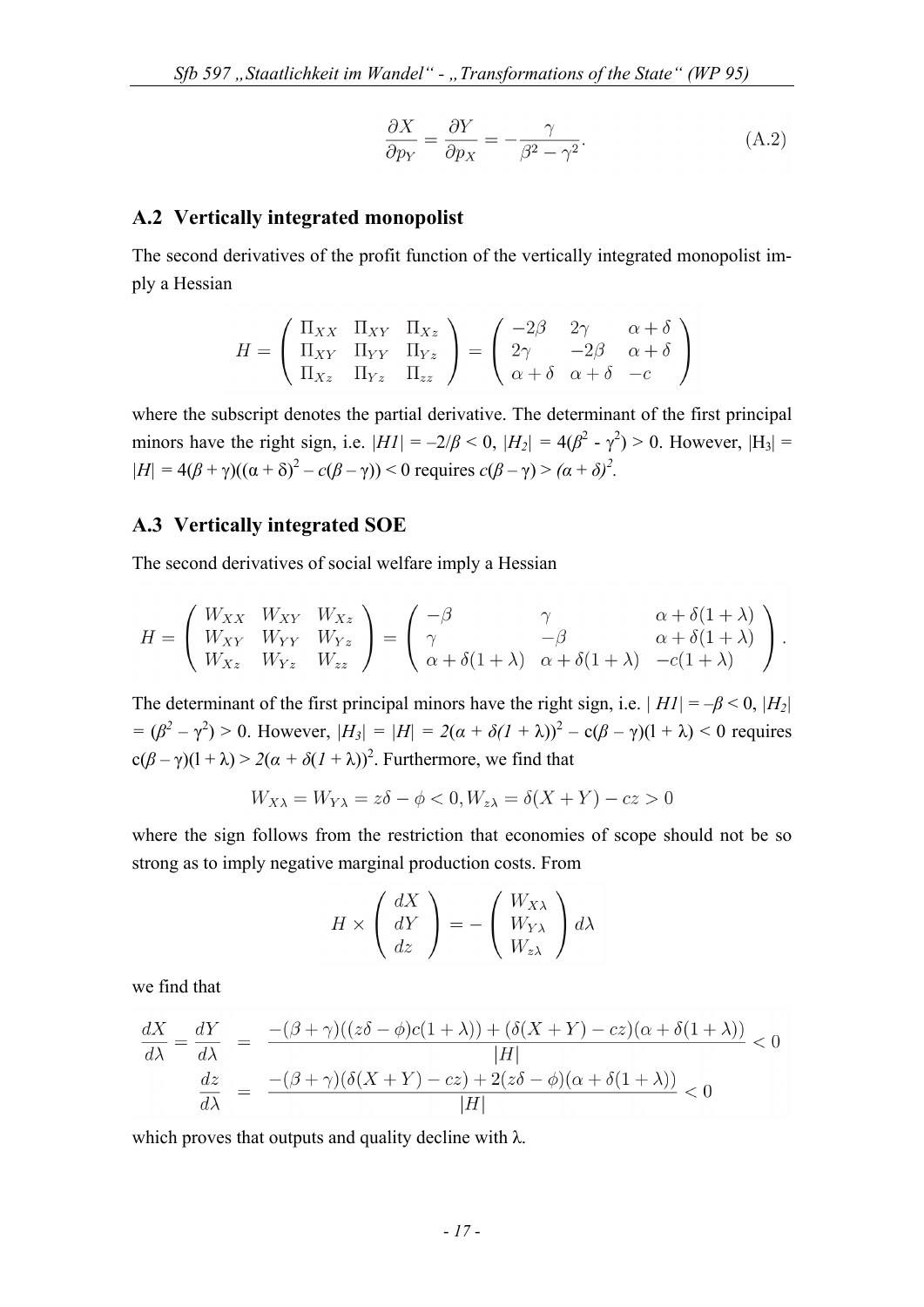$$
\frac{\partial X}{\partial p_Y} = \frac{\partial Y}{\partial p_X} = -\frac{\gamma}{\beta^2 - \gamma^2}.
$$
\n(A.2)

#### **A.2 Vertically integrated monopolist**

The second derivatives of the profit function of the vertically integrated monopolist imply a Hessian

$$
H = \begin{pmatrix} \Pi_{XX} & \Pi_{XY} & \Pi_{Xz} \\ \Pi_{XY} & \Pi_{YY} & \Pi_{YZ} \\ \Pi_{Xz} & \Pi_{YZ} & \Pi_{zz} \end{pmatrix} = \begin{pmatrix} -2\beta & 2\gamma & \alpha + \delta \\ 2\gamma & -2\beta & \alpha + \delta \\ \alpha + \delta & \alpha + \delta & -c \end{pmatrix}
$$

where the subscript denotes the partial derivative. The determinant of the first principal minors have the right sign, i.e.  $|H1| = -2/\beta < 0$ ,  $|H_2| = 4(\beta^2 - \gamma^2) > 0$ . However,  $|H_3| =$  $|H| = 4(\beta + \gamma)((\alpha + \delta)^2 - c(\beta - \gamma)) < 0$  requires  $c(\beta - \gamma) > (\alpha + \delta)^2$ .

#### **A.3 Vertically integrated SOE**

The second derivatives of social welfare imply a Hessian

$$
H = \begin{pmatrix} W_{XX} & W_{XY} & W_{Xz} \\ W_{XY} & W_{YY} & W_{Yz} \\ W_{Xz} & W_{Yz} & W_{zz} \end{pmatrix} = \begin{pmatrix} -\beta & \gamma & \alpha + \delta(1+\lambda) \\ \gamma & -\beta & \alpha + \delta(1+\lambda) \\ \alpha + \delta(1+\lambda) & \alpha + \delta(1+\lambda) & -c(1+\lambda) \end{pmatrix}.
$$

The determinant of the first principal minors have the right sign, i.e.  $|H1| = -\beta < 0$ ,  $|H_2|$  $= (\beta^2 - \gamma^2) > 0$ . However,  $|H_3| = |H| = 2(\alpha + \delta(1 + \lambda))^2 - c(\beta - \gamma)(1 + \lambda) < 0$  requires  $c(\beta - \gamma)(1 + \lambda) > 2(\alpha + \delta(1 + \lambda))^2$ . Furthermore, we find that

$$
W_{X\lambda} = W_{Y\lambda} = z\delta - \phi < 0, W_{z\lambda} = \delta(X + Y) - cz > 0
$$

where the sign follows from the restriction that economies of scope should not be so strong as to imply negative marginal production costs. From

$$
H \times \left(\begin{array}{c} dX \\ dY \\ dz \end{array}\right) = -\left(\begin{array}{c} W_{X\lambda} \\ W_{Y\lambda} \\ W_{z\lambda} \end{array}\right) d\lambda
$$

we find that

$$
\frac{dX}{d\lambda} = \frac{dY}{d\lambda} = \frac{- (\beta + \gamma)((z\delta - \phi)c(1 + \lambda)) + (\delta(X + Y) - cz)(\alpha + \delta(1 + \lambda))}{|H|} < 0
$$
  

$$
\frac{dz}{d\lambda} = \frac{-(\beta + \gamma)(\delta(X + Y) - cz) + 2(z\delta - \phi)(\alpha + \delta(1 + \lambda))}{|H|} < 0
$$

which proves that outputs and quality decline with  $\lambda$ .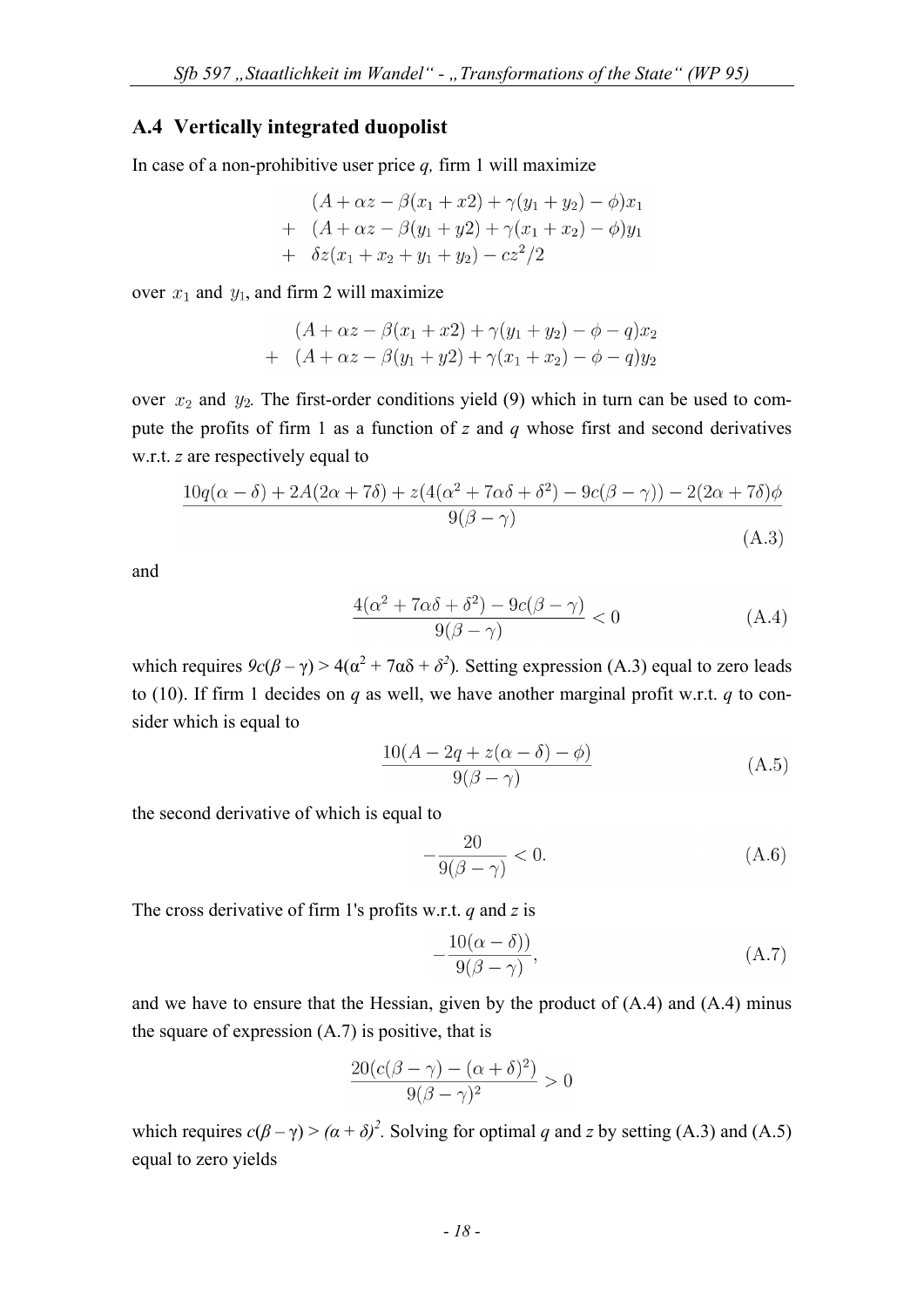## **A.4 Vertically integrated duopolist**

In case of a non-prohibitive user price *q,* firm 1 will maximize

$$
(A + \alpha z - \beta(x_1 + x_2) + \gamma(y_1 + y_2) - \phi)x_1
$$
  
+ 
$$
(A + \alpha z - \beta(y_1 + y_2) + \gamma(x_1 + x_2) - \phi)y_1
$$
  
+ 
$$
\delta z(x_1 + x_2 + y_1 + y_2) - cz^2/2
$$

over  $x_1$  and  $y_1$ , and firm 2 will maximize

$$
(A + \alpha z - \beta(x_1 + x_2) + \gamma(y_1 + y_2) - \phi - q)x_2
$$
  
+ 
$$
(A + \alpha z - \beta(y_1 + y_2) + \gamma(x_1 + x_2) - \phi - q)y_2
$$

over  $x_2$  and  $y_2$ . The first-order conditions yield (9) which in turn can be used to compute the profits of firm 1 as a function of *z* and *q* whose first and second derivatives w.r.t. *z* are respectively equal to

$$
\frac{10q(\alpha-\delta) + 2A(2\alpha+7\delta) + z(4(\alpha^2+7\alpha\delta+\delta^2) - 9c(\beta-\gamma)) - 2(2\alpha+7\delta)\phi}{9(\beta-\gamma)}
$$
(A.3)

and

$$
\frac{4(\alpha^2 + 7\alpha\delta + \delta^2) - 9c(\beta - \gamma)}{9(\beta - \gamma)} < 0 \tag{A.4}
$$

which requires  $9c(\beta - \gamma) > 4(\alpha^2 + 7\alpha\delta + \delta^2)$ . Setting expression (A.3) equal to zero leads to (10). If firm 1 decides on *q* as well, we have another marginal profit w.r.t. *q* to consider which is equal to

$$
\frac{10(A - 2q + z(\alpha - \delta) - \phi)}{9(\beta - \gamma)}
$$
(A.5)

the second derivative of which is equal to

$$
-\frac{20}{9(\beta-\gamma)} < 0. \tag{A.6}
$$

The cross derivative of firm 1's profits w.r.t. *q* and *z* is

$$
-\frac{10(\alpha-\delta)}{9(\beta-\gamma)},\tag{A.7}
$$

and we have to ensure that the Hessian, given by the product of (A.4) and (A.4) minus the square of expression  $(A.7)$  is positive, that is

$$
\frac{20(c(\beta - \gamma) - (\alpha + \delta)^2)}{9(\beta - \gamma)^2} > 0
$$

which requires  $c(\beta - \gamma) > (\alpha + \delta)^2$ . Solving for optimal *q* and *z* by setting (A.3) and (A.5) equal to zero yields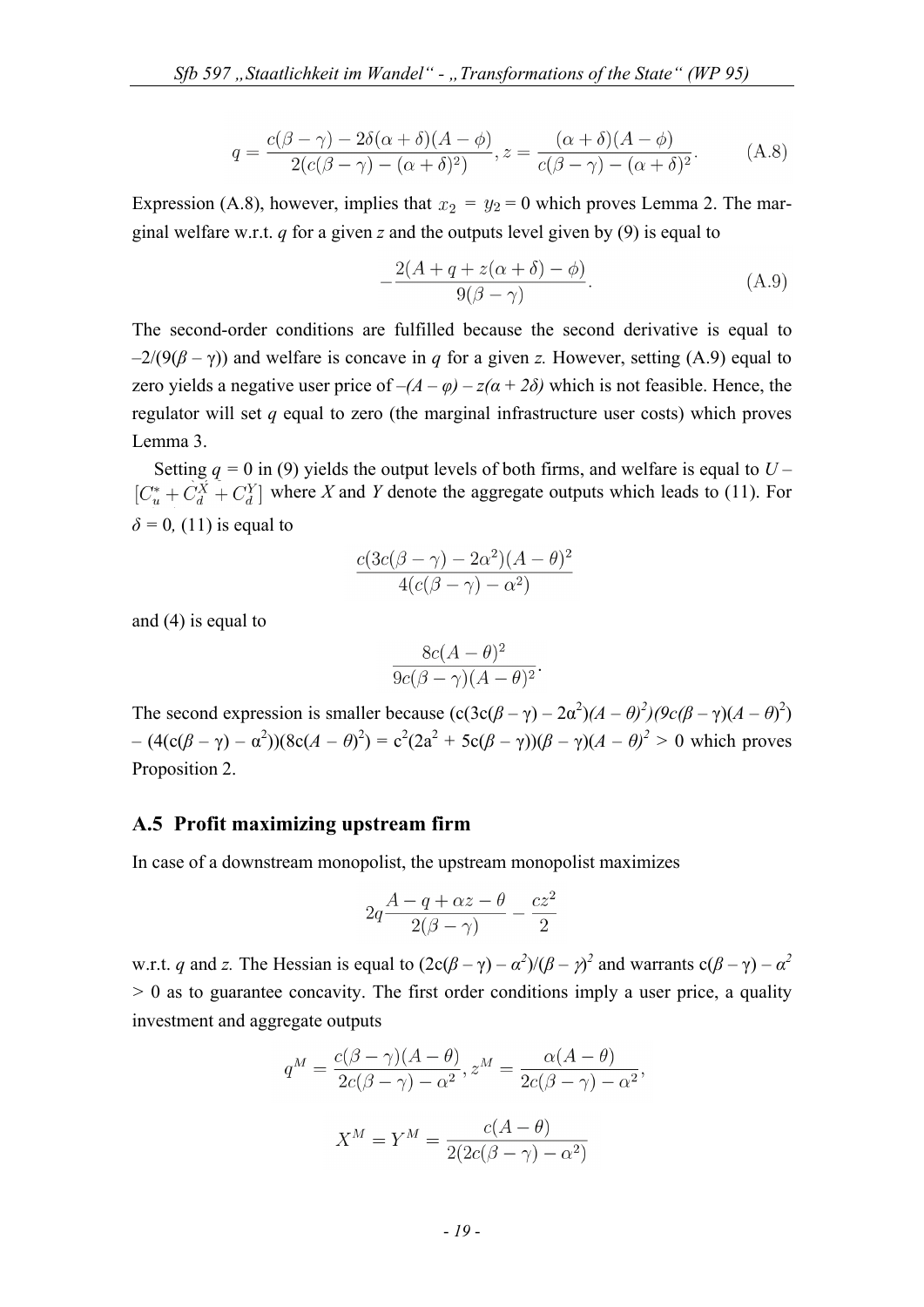$$
q = \frac{c(\beta - \gamma) - 2\delta(\alpha + \delta)(A - \phi)}{2(c(\beta - \gamma) - (\alpha + \delta)^2)}, z = \frac{(\alpha + \delta)(A - \phi)}{c(\beta - \gamma) - (\alpha + \delta)^2}.
$$
 (A.8)

Expression (A.8), however, implies that  $x_2 = y_2 = 0$  which proves Lemma 2. The marginal welfare w.r.t. *q* for a given *z* and the outputs level given by (9) is equal to

$$
-\frac{2(A+q+z(\alpha+\delta)-\phi)}{9(\beta-\gamma)}.
$$
 (A.9)

The second-order conditions are fulfilled because the second derivative is equal to  $-2/(9(\beta - \gamma))$  and welfare is concave in *q* for a given *z*. However, setting (A.9) equal to zero yields a negative user price of  $-(A - \varphi) - z(\alpha + 2\delta)$  which is not feasible. Hence, the regulator will set *q* equal to zero (the marginal infrastructure user costs) which proves Lemma 3.

Setting  $q = 0$  in (9) yields the output levels of both firms, and welfare is equal to  $U [C_u^* + \dot{C}_d^X + C_d^Y]$  where X and Y denote the aggregate outputs which leads to (11). For  $\delta$  = 0, (11) is equal to

$$
\frac{c(3c(\beta-\gamma)-2\alpha^2)(A-\theta)^2}{4(c(\beta-\gamma)-\alpha^2)}
$$

and (4) is equal to

$$
\frac{8c(A-\theta)^2}{9c(\beta-\gamma)(A-\theta)^2}
$$

The second expression is smaller because  $(c(3c(\beta - \gamma) - 2\alpha^2)(A - \theta)^2)(9c(\beta - \gamma)(A - \theta)^2)$  $-(4(c(\beta - \gamma) - \alpha^2))(8c(A - \theta)^2) = c^2(2a^2 + 5c(\beta - \gamma))(\beta - \gamma)(A - \theta)^2 > 0$  which proves Proposition 2.

## **A.5 Profit maximizing upstream firm**

In case of a downstream monopolist, the upstream monopolist maximizes

$$
2q\frac{A-q+\alpha z-\theta}{2(\beta-\gamma)}-\frac{cz^2}{2}
$$

w.r.t. *q* and *z*. The Hessian is equal to  $(2c(\beta - \gamma) - \alpha^2)/(\beta - \gamma^2)$  and warrants  $c(\beta - \gamma) - \alpha^2$ *>* 0 as to guarantee concavity. The first order conditions imply a user price, a quality investment and aggregate outputs

$$
q^{M} = \frac{c(\beta - \gamma)(A - \theta)}{2c(\beta - \gamma) - \alpha^{2}}, z^{M} = \frac{\alpha(A - \theta)}{2c(\beta - \gamma) - \alpha^{2}},
$$

$$
X^{M} = Y^{M} = \frac{c(A - \theta)}{2(2c(\beta - \gamma) - \alpha^{2})}
$$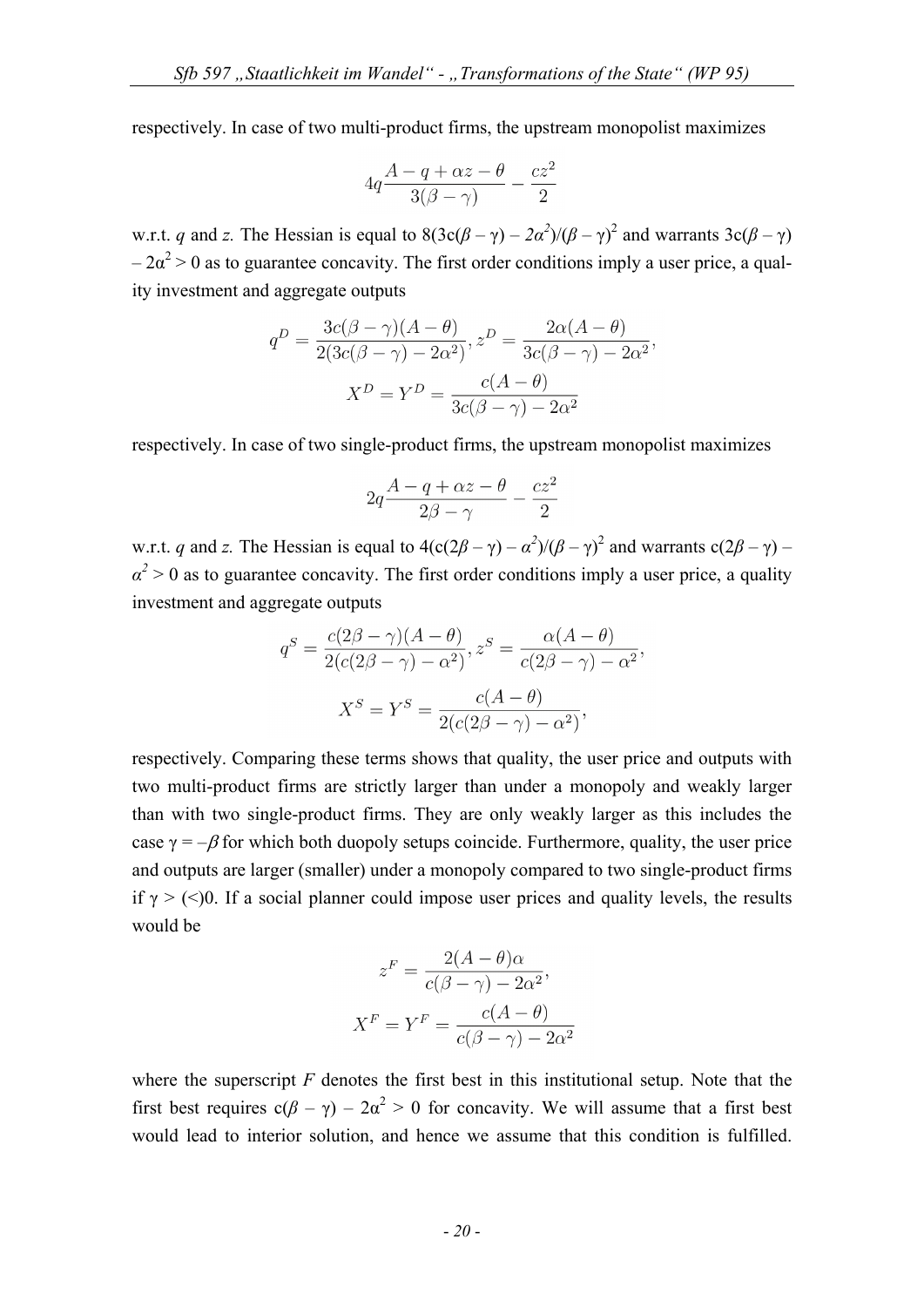respectively. In case of two multi-product firms, the upstream monopolist maximizes

$$
4q\frac{A-q+\alpha z-\theta}{3(\beta-\gamma)}-\frac{cz^2}{2}
$$

w.r.t. *q* and *z*. The Hessian is equal to  $8(3c(\beta - \gamma) - 2\alpha^2)/(\beta - \gamma)^2$  and warrants  $3c(\beta - \gamma)$  $-2\alpha^2 > 0$  as to guarantee concavity. The first order conditions imply a user price, a quality investment and aggregate outputs

$$
q^{D} = \frac{3c(\beta - \gamma)(A - \theta)}{2(3c(\beta - \gamma) - 2\alpha^{2})}, z^{D} = \frac{2\alpha(A - \theta)}{3c(\beta - \gamma) - 2\alpha^{2}},
$$

$$
X^{D} = Y^{D} = \frac{c(A - \theta)}{3c(\beta - \gamma) - 2\alpha^{2}}
$$

respectively. In case of two single-product firms, the upstream monopolist maximizes

$$
2q\frac{A-q+\alpha z-\theta}{2\beta-\gamma}-\frac{cz^2}{2}
$$

w.r.t. *q* and *z*. The Hessian is equal to  $4(c(2\beta - \gamma) - \alpha^2)/(\beta - \gamma)^2$  and warrants  $c(2\beta - \gamma)$  –  $\alpha^2 > 0$  as to guarantee concavity. The first order conditions imply a user price, a quality investment and aggregate outputs

$$
q^{S} = \frac{c(2\beta - \gamma)(A - \theta)}{2(c(2\beta - \gamma) - \alpha^{2})}, z^{S} = \frac{\alpha(A - \theta)}{c(2\beta - \gamma) - \alpha^{2}},
$$

$$
X^{S} = Y^{S} = \frac{c(A - \theta)}{2(c(2\beta - \gamma) - \alpha^{2})},
$$

respectively. Comparing these terms shows that quality, the user price and outputs with two multi-product firms are strictly larger than under a monopoly and weakly larger than with two single-product firms. They are only weakly larger as this includes the case  $\gamma = -\beta$  for which both duopoly setups coincide. Furthermore, quality, the user price and outputs are larger (smaller) under a monopoly compared to two single-product firms if  $\gamma$  > (<)0. If a social planner could impose user prices and quality levels, the results would be

$$
z^{F} = \frac{2(A - \theta)\alpha}{c(\beta - \gamma) - 2\alpha^{2}},
$$

$$
X^{F} = Y^{F} = \frac{c(A - \theta)}{c(\beta - \gamma) - 2\alpha^{2}}
$$

where the superscript *F* denotes the first best in this institutional setup. Note that the first best requires  $c(\beta - \gamma) - 2\alpha^2 > 0$  for concavity. We will assume that a first best would lead to interior solution, and hence we assume that this condition is fulfilled.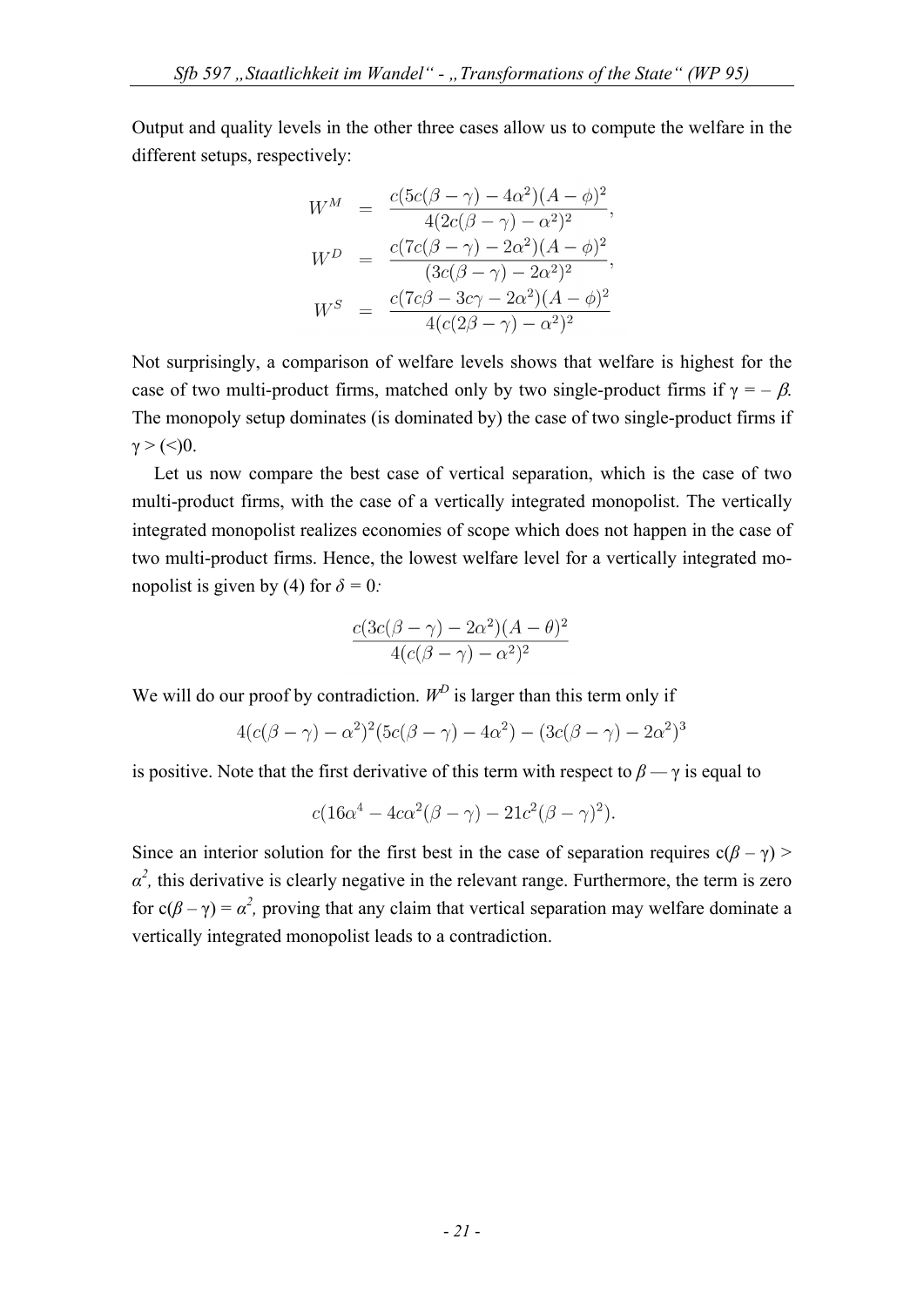Output and quality levels in the other three cases allow us to compute the welfare in the different setups, respectively:

$$
W^M = \frac{c(5c(\beta - \gamma) - 4\alpha^2)(A - \phi)^2}{4(2c(\beta - \gamma) - \alpha^2)^2},
$$
  
\n
$$
W^D = \frac{c(7c(\beta - \gamma) - 2\alpha^2)(A - \phi)^2}{(3c(\beta - \gamma) - 2\alpha^2)^2},
$$
  
\n
$$
W^S = \frac{c(7c\beta - 3c\gamma - 2\alpha^2)(A - \phi)^2}{4(c(2\beta - \gamma) - \alpha^2)^2}
$$

Not surprisingly, a comparison of welfare levels shows that welfare is highest for the case of two multi-product firms, matched only by two single-product firms if  $\gamma = -\beta$ . The monopoly setup dominates (is dominated by) the case of two single-product firms if  $y > \frac{(<)}{0}$ .

Let us now compare the best case of vertical separation, which is the case of two multi-product firms, with the case of a vertically integrated monopolist. The vertically integrated monopolist realizes economies of scope which does not happen in the case of two multi-product firms. Hence, the lowest welfare level for a vertically integrated monopolist is given by (4) for  $\delta = 0$ :

$$
\frac{c(3c(\beta-\gamma)-2\alpha^2)(A-\theta)^2}{4(c(\beta-\gamma)-\alpha^2)^2}
$$

We will do our proof by contradiction.  $W^D$  is larger than this term only if

$$
4(c(\beta - \gamma) - \alpha^2)^2 (5c(\beta - \gamma) - 4\alpha^2) - (3c(\beta - \gamma) - 2\alpha^2)^3
$$

is positive. Note that the first derivative of this term with respect to  $\beta - \gamma$  is equal to

$$
c(16\alpha^4 - 4c\alpha^2(\beta - \gamma) - 21c^2(\beta - \gamma)^2).
$$

Since an interior solution for the first best in the case of separation requires  $c(\beta - \gamma)$  $\alpha^2$ , this derivative is clearly negative in the relevant range. Furthermore, the term is zero for  $c(\beta - \gamma) = \alpha^2$ , proving that any claim that vertical separation may welfare dominate a vertically integrated monopolist leads to a contradiction.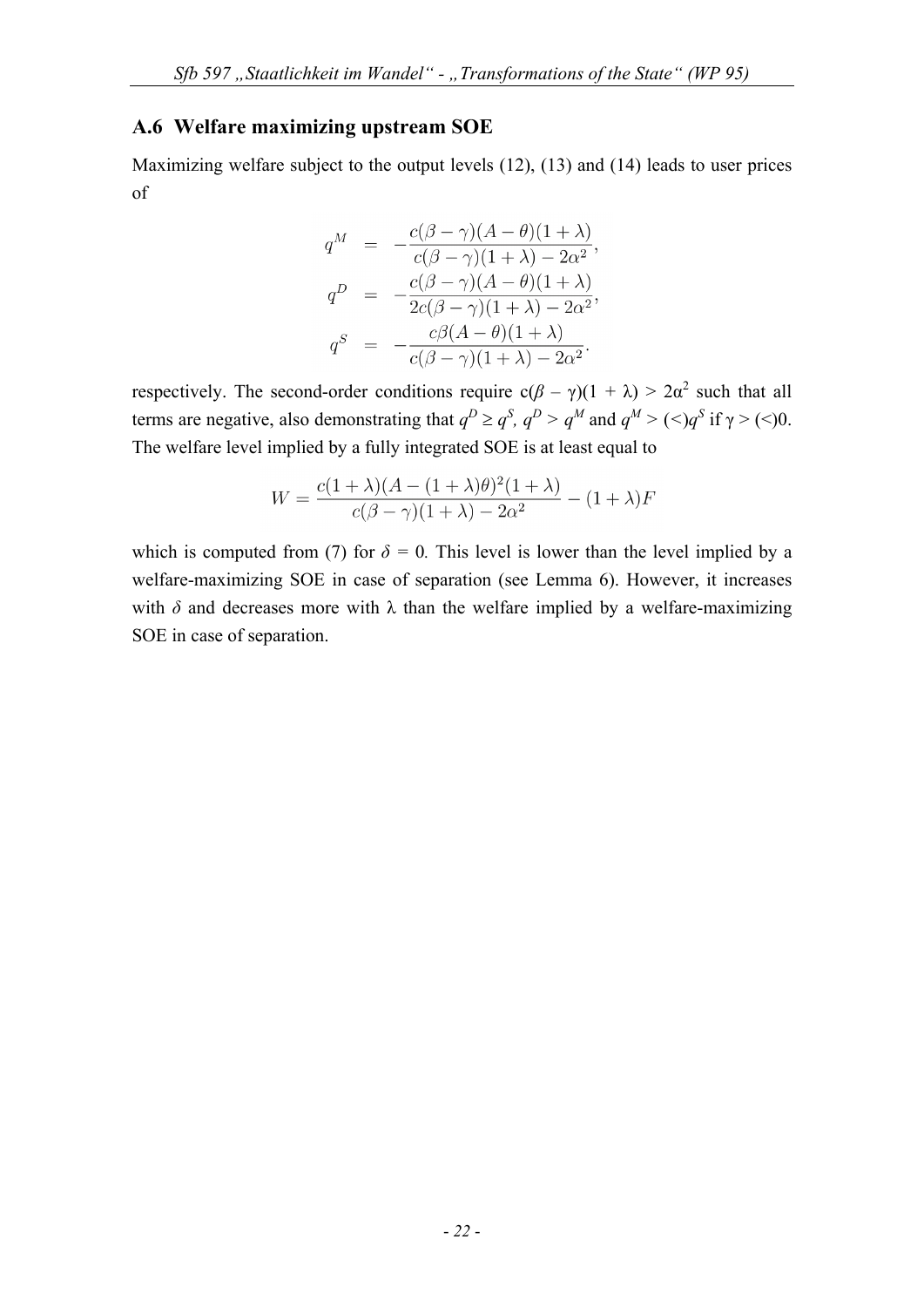# **A.6 Welfare maximizing upstream SOE**

Maximizing welfare subject to the output levels (12), (13) and (14) leads to user prices of

$$
q^M = -\frac{c(\beta - \gamma)(A - \theta)(1 + \lambda)}{c(\beta - \gamma)(1 + \lambda) - 2\alpha^2},
$$
  
\n
$$
q^D = -\frac{c(\beta - \gamma)(A - \theta)(1 + \lambda)}{2c(\beta - \gamma)(1 + \lambda) - 2\alpha^2},
$$
  
\n
$$
q^S = -\frac{c\beta(A - \theta)(1 + \lambda)}{c(\beta - \gamma)(1 + \lambda) - 2\alpha^2}.
$$

respectively. The second-order conditions require  $c(\beta - \gamma)(1 + \lambda) > 2\alpha^2$  such that all terms are negative, also demonstrating that  $q^D \ge q^S$ ,  $q^D > q^M$  and  $q^M > (\le)q^S$  if  $\gamma > (\le)0$ . The welfare level implied by a fully integrated SOE is at least equal to

$$
W = \frac{c(1+\lambda)(A - (1+\lambda)\theta)^2(1+\lambda)}{c(\beta - \gamma)(1+\lambda) - 2\alpha^2} - (1+\lambda)F
$$

which is computed from (7) for  $\delta = 0$ . This level is lower than the level implied by a welfare-maximizing SOE in case of separation (see Lemma 6). However, it increases with  $\delta$  and decreases more with  $\lambda$  than the welfare implied by a welfare-maximizing SOE in case of separation.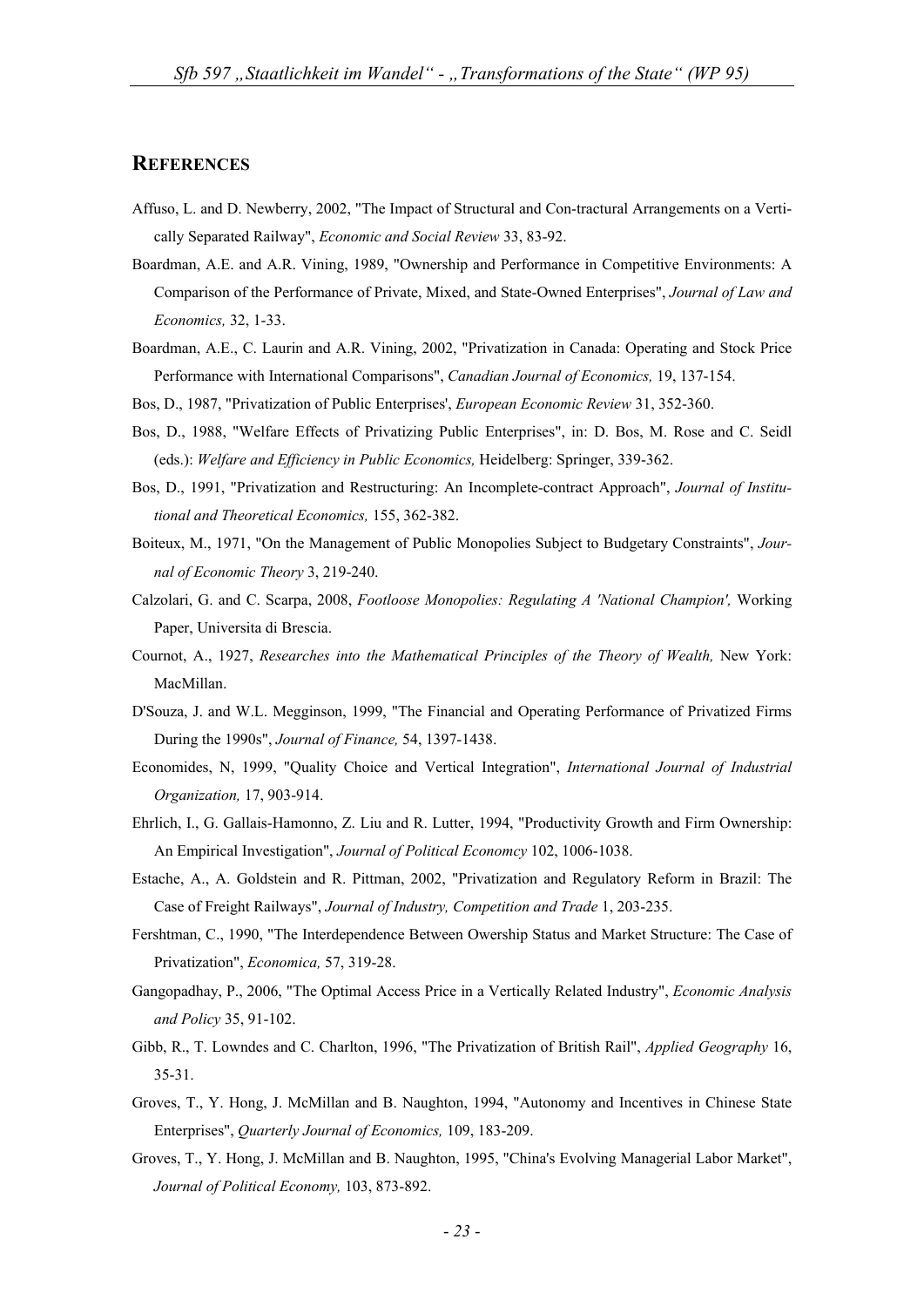#### **REFERENCES**

- Affuso, L. and D. Newberry, 2002, "The Impact of Structural and Con-tractural Arrangements on a Vertically Separated Railway", *Economic and Social Review* 33, 83-92.
- Boardman, A.E. and A.R. Vining, 1989, "Ownership and Performance in Competitive Environments: A Comparison of the Performance of Private, Mixed, and State-Owned Enterprises", *Journal of Law and Economics,* 32, 1-33.
- Boardman, A.E., C. Laurin and A.R. Vining, 2002, "Privatization in Canada: Operating and Stock Price Performance with International Comparisons", *Canadian Journal of Economics,* 19, 137-154.
- Bos, D., 1987, "Privatization of Public Enterprises', *European Economic Review* 31, 352-360.
- Bos, D., 1988, "Welfare Effects of Privatizing Public Enterprises", in: D. Bos, M. Rose and C. Seidl (eds.): *Welfare and Efficiency in Public Economics,* Heidelberg: Springer, 339-362.
- Bos, D., 1991, "Privatization and Restructuring: An Incomplete-contract Approach", *Journal of Institutional and Theoretical Economics,* 155, 362-382.
- Boiteux, M., 1971, "On the Management of Public Monopolies Subject to Budgetary Constraints", *Journal of Economic Theory* 3, 219-240.
- Calzolari, G. and C. Scarpa, 2008, *Footloose Monopolies: Regulating A 'National Champion',* Working Paper, Universita di Brescia.
- Cournot, A., 1927, *Researches into the Mathematical Principles of the Theory of Wealth*, New York: MacMillan.
- D'Souza, J. and W.L. Megginson, 1999, "The Financial and Operating Performance of Privatized Firms During the 1990s", *Journal of Finance,* 54, 1397-1438.
- Economides, N, 1999, "Quality Choice and Vertical Integration", *International Journal of Industrial Organization,* 17, 903-914.
- Ehrlich, I., G. Gallais-Hamonno, Z. Liu and R. Lutter, 1994, "Productivity Growth and Firm Ownership: An Empirical Investigation", *Journal of Political Economcy* 102, 1006-1038.
- Estache, A., A. Goldstein and R. Pittman, 2002, "Privatization and Regulatory Reform in Brazil: The Case of Freight Railways", *Journal of Industry, Competition and Trade* 1, 203-235.
- Fershtman, C., 1990, "The Interdependence Between Owership Status and Market Structure: The Case of Privatization", *Economica,* 57, 319-28.
- Gangopadhay, P., 2006, "The Optimal Access Price in a Vertically Related Industry", *Economic Analysis and Policy* 35, 91-102.
- Gibb, R., T. Lowndes and C. Charlton, 1996, "The Privatization of British Rail", *Applied Geography* 16, 35-31.
- Groves, T., Y. Hong, J. McMillan and B. Naughton, 1994, "Autonomy and Incentives in Chinese State Enterprises", *Quarterly Journal of Economics,* 109, 183-209.
- Groves, T., Y. Hong, J. McMillan and B. Naughton, 1995, "China's Evolving Managerial Labor Market", *Journal of Political Economy,* 103, 873-892.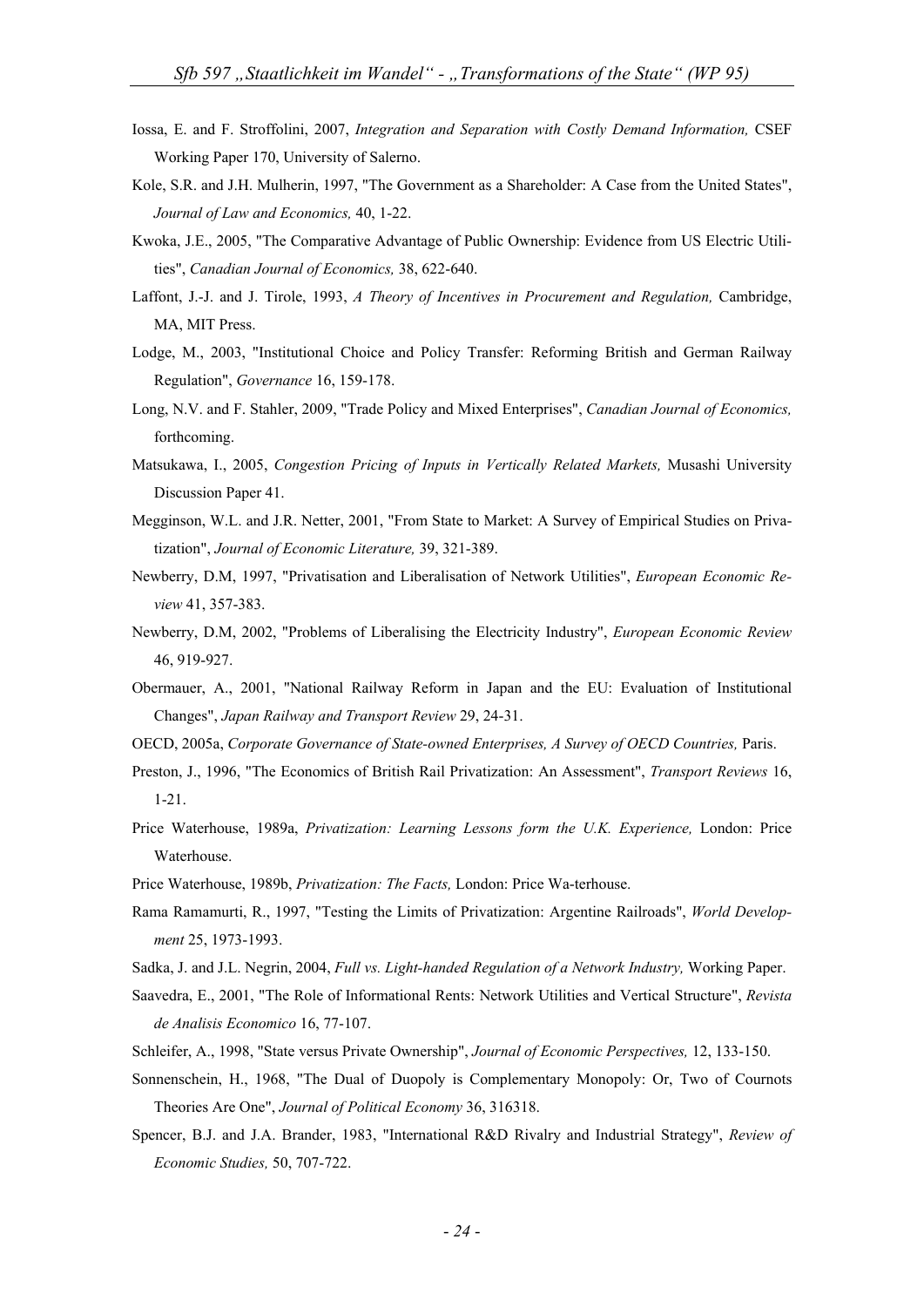- Iossa, E. and F. Stroffolini, 2007, *Integration and Separation with Costly Demand Information,* CSEF Working Paper 170, University of Salerno.
- Kole, S.R. and J.H. Mulherin, 1997, "The Government as a Shareholder: A Case from the United States", *Journal of Law and Economics,* 40, 1-22.
- Kwoka, J.E., 2005, "The Comparative Advantage of Public Ownership: Evidence from US Electric Utilities", *Canadian Journal of Economics,* 38, 622-640.
- Laffont, J.-J. and J. Tirole, 1993, *A Theory of Incentives in Procurement and Regulation*, Cambridge, MA, MIT Press.
- Lodge, M., 2003, "Institutional Choice and Policy Transfer: Reforming British and German Railway Regulation", *Governance* 16, 159-178.
- Long, N.V. and F. Stahler, 2009, "Trade Policy and Mixed Enterprises", *Canadian Journal of Economics,*  forthcoming.
- Matsukawa, I., 2005, *Congestion Pricing of Inputs in Vertically Related Markets,* Musashi University Discussion Paper 41.
- Megginson, W.L. and J.R. Netter, 2001, "From State to Market: A Survey of Empirical Studies on Privatization", *Journal of Economic Literature,* 39, 321-389.
- Newberry, D.M, 1997, "Privatisation and Liberalisation of Network Utilities", *European Economic Review* 41, 357-383.
- Newberry, D.M, 2002, "Problems of Liberalising the Electricity Industry", *European Economic Review*  46, 919-927.
- Obermauer, A., 2001, "National Railway Reform in Japan and the EU: Evaluation of Institutional Changes", *Japan Railway and Transport Review* 29, 24-31.
- OECD, 2005a, *Corporate Governance of State-owned Enterprises, A Survey of OECD Countries,* Paris.
- Preston, J., 1996, "The Economics of British Rail Privatization: An Assessment", *Transport Reviews* 16, 1-21.
- Price Waterhouse, 1989a, *Privatization: Learning Lessons form the U.K. Experience*, London: Price Waterhouse.
- Price Waterhouse, 1989b, *Privatization: The Facts,* London: Price Wa-terhouse.
- Rama Ramamurti, R., 1997, "Testing the Limits of Privatization: Argentine Railroads", *World Development* 25, 1973-1993.
- Sadka, J. and J.L. Negrin, 2004, *Full vs. Light-handed Regulation of a Network Industry,* Working Paper.
- Saavedra, E., 2001, "The Role of Informational Rents: Network Utilities and Vertical Structure", *Revista de Analisis Economico* 16, 77-107.
- Schleifer, A., 1998, "State versus Private Ownership", *Journal of Economic Perspectives,* 12, 133-150.
- Sonnenschein, H., 1968, "The Dual of Duopoly is Complementary Monopoly: Or, Two of Cournots Theories Are One", *Journal of Political Economy* 36, 316318.
- Spencer, B.J. and J.A. Brander, 1983, "International R&D Rivalry and Industrial Strategy", *Review of Economic Studies,* 50, 707-722.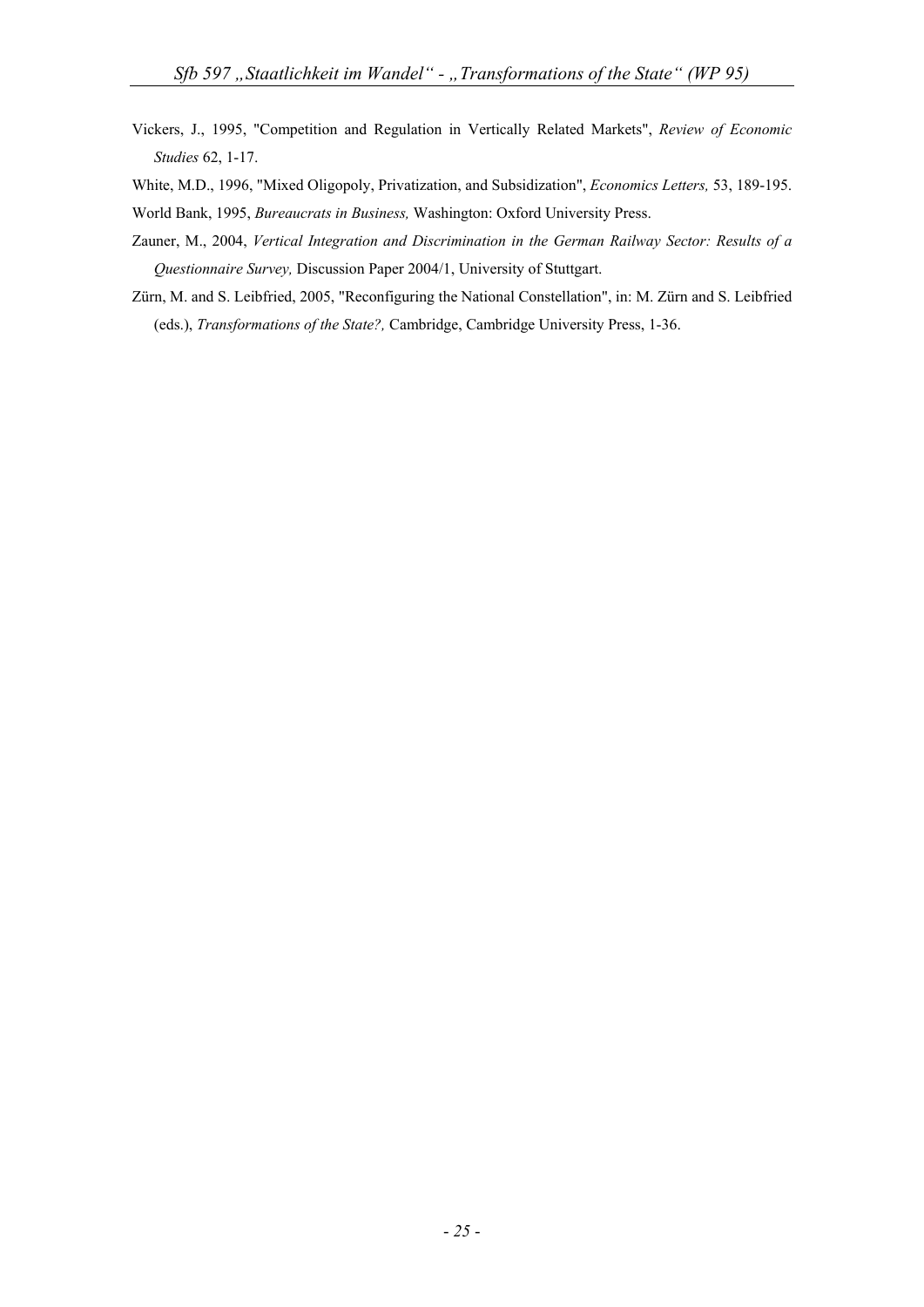- Vickers, J., 1995, "Competition and Regulation in Vertically Related Markets", *Review of Economic Studies* 62, 1-17.
- White, M.D., 1996, "Mixed Oligopoly, Privatization, and Subsidization", *Economics Letters,* 53, 189-195.

World Bank, 1995, *Bureaucrats in Business,* Washington: Oxford University Press.

- Zauner, M., 2004, *Vertical Integration and Discrimination in the German Railway Sector: Results of a Questionnaire Survey,* Discussion Paper 2004/1, University of Stuttgart.
- Zürn, M. and S. Leibfried, 2005, "Reconfiguring the National Constellation", in: M. Zürn and S. Leibfried (eds.), *Transformations of the State?,* Cambridge, Cambridge University Press, 1-36.